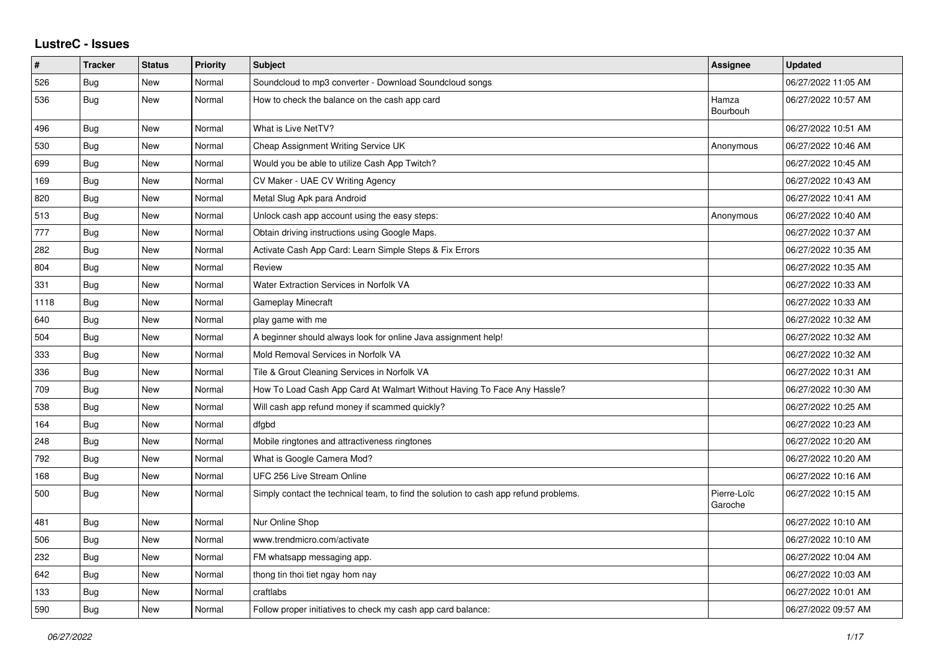## **LustreC - Issues**

| $\pmb{\#}$ | <b>Tracker</b> | <b>Status</b> | <b>Priority</b> | <b>Subject</b>                                                                       | Assignee               | <b>Updated</b>      |
|------------|----------------|---------------|-----------------|--------------------------------------------------------------------------------------|------------------------|---------------------|
| 526        | Bug            | New           | Normal          | Soundcloud to mp3 converter - Download Soundcloud songs                              |                        | 06/27/2022 11:05 AM |
| 536        | Bug            | New           | Normal          | How to check the balance on the cash app card                                        | Hamza<br>Bourbouh      | 06/27/2022 10:57 AM |
| 496        | <b>Bug</b>     | New           | Normal          | What is Live NetTV?                                                                  |                        | 06/27/2022 10:51 AM |
| 530        | <b>Bug</b>     | New           | Normal          | Cheap Assignment Writing Service UK                                                  | Anonymous              | 06/27/2022 10:46 AM |
| 699        | Bug            | New           | Normal          | Would you be able to utilize Cash App Twitch?                                        |                        | 06/27/2022 10:45 AM |
| 169        | Bug            | New           | Normal          | CV Maker - UAE CV Writing Agency                                                     |                        | 06/27/2022 10:43 AM |
| 820        | Bug            | New           | Normal          | Metal Slug Apk para Android                                                          |                        | 06/27/2022 10:41 AM |
| 513        | Bug            | New           | Normal          | Unlock cash app account using the easy steps:                                        | Anonymous              | 06/27/2022 10:40 AM |
| 777        | Bug            | New           | Normal          | Obtain driving instructions using Google Maps.                                       |                        | 06/27/2022 10:37 AM |
| 282        | Bug            | <b>New</b>    | Normal          | Activate Cash App Card: Learn Simple Steps & Fix Errors                              |                        | 06/27/2022 10:35 AM |
| 804        | Bug            | New           | Normal          | Review                                                                               |                        | 06/27/2022 10:35 AM |
| 331        | Bug            | New           | Normal          | Water Extraction Services in Norfolk VA                                              |                        | 06/27/2022 10:33 AM |
| 1118       | Bug            | New           | Normal          | Gameplay Minecraft                                                                   |                        | 06/27/2022 10:33 AM |
| 640        | <b>Bug</b>     | New           | Normal          | play game with me                                                                    |                        | 06/27/2022 10:32 AM |
| 504        | Bug            | New           | Normal          | A beginner should always look for online Java assignment help!                       |                        | 06/27/2022 10:32 AM |
| 333        | Bug            | New           | Normal          | Mold Removal Services in Norfolk VA                                                  |                        | 06/27/2022 10:32 AM |
| 336        | Bug            | New           | Normal          | Tile & Grout Cleaning Services in Norfolk VA                                         |                        | 06/27/2022 10:31 AM |
| 709        | Bug            | New           | Normal          | How To Load Cash App Card At Walmart Without Having To Face Any Hassle?              |                        | 06/27/2022 10:30 AM |
| 538        | Bug            | New           | Normal          | Will cash app refund money if scammed quickly?                                       |                        | 06/27/2022 10:25 AM |
| 164        | Bug            | New           | Normal          | dfgbd                                                                                |                        | 06/27/2022 10:23 AM |
| 248        | <b>Bug</b>     | New           | Normal          | Mobile ringtones and attractiveness ringtones                                        |                        | 06/27/2022 10:20 AM |
| 792        | Bug            | New           | Normal          | What is Google Camera Mod?                                                           |                        | 06/27/2022 10:20 AM |
| 168        | Bug            | New           | Normal          | UFC 256 Live Stream Online                                                           |                        | 06/27/2022 10:16 AM |
| 500        | Bug            | New           | Normal          | Simply contact the technical team, to find the solution to cash app refund problems. | Pierre-Loïc<br>Garoche | 06/27/2022 10:15 AM |
| 481        | <b>Bug</b>     | New           | Normal          | Nur Online Shop                                                                      |                        | 06/27/2022 10:10 AM |
| 506        | Bug            | New           | Normal          | www.trendmicro.com/activate                                                          |                        | 06/27/2022 10:10 AM |
| 232        | Bug            | New           | Normal          | FM whatsapp messaging app.                                                           |                        | 06/27/2022 10:04 AM |
| 642        | <b>Bug</b>     | New           | Normal          | thong tin thoi tiet ngay hom nay                                                     |                        | 06/27/2022 10:03 AM |
| 133        | Bug            | New           | Normal          | craftlabs                                                                            |                        | 06/27/2022 10:01 AM |
| 590        | Bug            | New           | Normal          | Follow proper initiatives to check my cash app card balance:                         |                        | 06/27/2022 09:57 AM |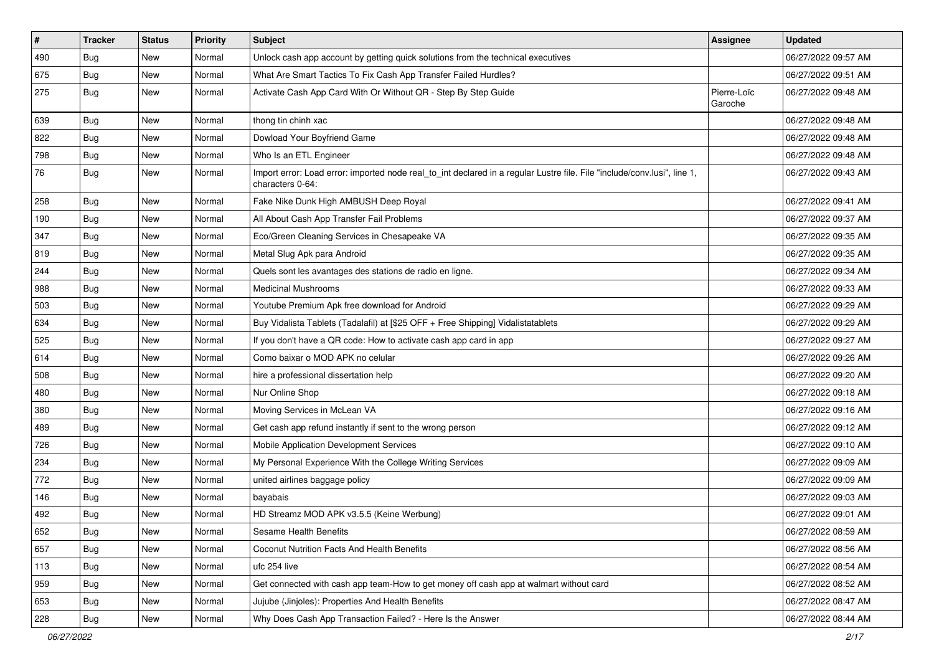| $\vert$ # | <b>Tracker</b> | <b>Status</b> | <b>Priority</b> | <b>Subject</b>                                                                                                                               | <b>Assignee</b>        | <b>Updated</b>      |
|-----------|----------------|---------------|-----------------|----------------------------------------------------------------------------------------------------------------------------------------------|------------------------|---------------------|
| 490       | <b>Bug</b>     | New           | Normal          | Unlock cash app account by getting quick solutions from the technical executives                                                             |                        | 06/27/2022 09:57 AM |
| 675       | Bug            | New           | Normal          | What Are Smart Tactics To Fix Cash App Transfer Failed Hurdles?                                                                              |                        | 06/27/2022 09:51 AM |
| 275       | Bug            | New           | Normal          | Activate Cash App Card With Or Without QR - Step By Step Guide                                                                               | Pierre-Loïc<br>Garoche | 06/27/2022 09:48 AM |
| 639       | Bug            | <b>New</b>    | Normal          | thong tin chinh xac                                                                                                                          |                        | 06/27/2022 09:48 AM |
| 822       | <b>Bug</b>     | New           | Normal          | Dowload Your Boyfriend Game                                                                                                                  |                        | 06/27/2022 09:48 AM |
| 798       | <b>Bug</b>     | New           | Normal          | Who Is an ETL Engineer                                                                                                                       |                        | 06/27/2022 09:48 AM |
| 76        | <b>Bug</b>     | New           | Normal          | Import error: Load error: imported node real_to_int declared in a regular Lustre file. File "include/conv.lusi", line 1,<br>characters 0-64: |                        | 06/27/2022 09:43 AM |
| 258       | Bug            | New           | Normal          | Fake Nike Dunk High AMBUSH Deep Royal                                                                                                        |                        | 06/27/2022 09:41 AM |
| 190       | Bug            | New           | Normal          | All About Cash App Transfer Fail Problems                                                                                                    |                        | 06/27/2022 09:37 AM |
| 347       | Bug            | New           | Normal          | Eco/Green Cleaning Services in Chesapeake VA                                                                                                 |                        | 06/27/2022 09:35 AM |
| 819       | Bug            | New           | Normal          | Metal Slug Apk para Android                                                                                                                  |                        | 06/27/2022 09:35 AM |
| 244       | <b>Bug</b>     | New           | Normal          | Quels sont les avantages des stations de radio en ligne.                                                                                     |                        | 06/27/2022 09:34 AM |
| 988       | <b>Bug</b>     | New           | Normal          | <b>Medicinal Mushrooms</b>                                                                                                                   |                        | 06/27/2022 09:33 AM |
| 503       | Bug            | New           | Normal          | Youtube Premium Apk free download for Android                                                                                                |                        | 06/27/2022 09:29 AM |
| 634       | <b>Bug</b>     | New           | Normal          | Buy Vidalista Tablets (Tadalafil) at [\$25 OFF + Free Shipping] Vidalistatablets                                                             |                        | 06/27/2022 09:29 AM |
| 525       | Bug            | New           | Normal          | If you don't have a QR code: How to activate cash app card in app                                                                            |                        | 06/27/2022 09:27 AM |
| 614       | Bug            | New           | Normal          | Como baixar o MOD APK no celular                                                                                                             |                        | 06/27/2022 09:26 AM |
| 508       | <b>Bug</b>     | New           | Normal          | hire a professional dissertation help                                                                                                        |                        | 06/27/2022 09:20 AM |
| 480       | Bug            | New           | Normal          | Nur Online Shop                                                                                                                              |                        | 06/27/2022 09:18 AM |
| 380       | <b>Bug</b>     | New           | Normal          | Moving Services in McLean VA                                                                                                                 |                        | 06/27/2022 09:16 AM |
| 489       | Bug            | New           | Normal          | Get cash app refund instantly if sent to the wrong person                                                                                    |                        | 06/27/2022 09:12 AM |
| 726       | <b>Bug</b>     | New           | Normal          | Mobile Application Development Services                                                                                                      |                        | 06/27/2022 09:10 AM |
| 234       | Bug            | New           | Normal          | My Personal Experience With the College Writing Services                                                                                     |                        | 06/27/2022 09:09 AM |
| 772       | <b>Bug</b>     | New           | Normal          | united airlines baggage policy                                                                                                               |                        | 06/27/2022 09:09 AM |
| 146       | <b>Bug</b>     | New           | Normal          | bayabais                                                                                                                                     |                        | 06/27/2022 09:03 AM |
| 492       | <b>Bug</b>     | New           | Normal          | HD Streamz MOD APK v3.5.5 (Keine Werbung)                                                                                                    |                        | 06/27/2022 09:01 AM |
| 652       | Bug            | New           | Normal          | Sesame Health Benefits                                                                                                                       |                        | 06/27/2022 08:59 AM |
| 657       | <b>Bug</b>     | New           | Normal          | Coconut Nutrition Facts And Health Benefits                                                                                                  |                        | 06/27/2022 08:56 AM |
| 113       | Bug            | New           | Normal          | ufc 254 live                                                                                                                                 |                        | 06/27/2022 08:54 AM |
| 959       | <b>Bug</b>     | New           | Normal          | Get connected with cash app team-How to get money off cash app at walmart without card                                                       |                        | 06/27/2022 08:52 AM |
| 653       | Bug            | New           | Normal          | Jujube (Jinjoles): Properties And Health Benefits                                                                                            |                        | 06/27/2022 08:47 AM |
| 228       | Bug            | New           | Normal          | Why Does Cash App Transaction Failed? - Here Is the Answer                                                                                   |                        | 06/27/2022 08:44 AM |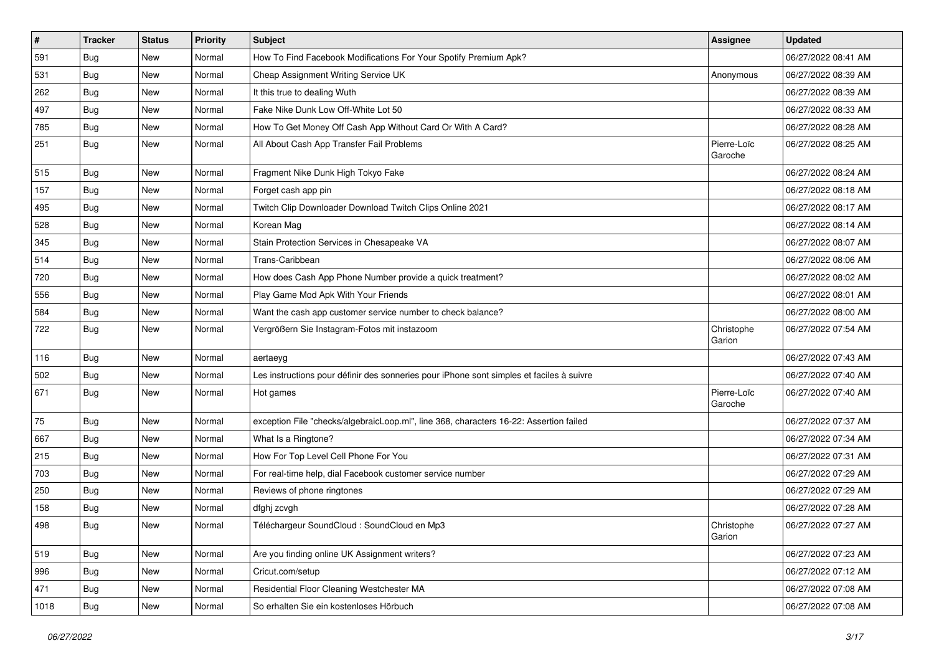| #    | <b>Tracker</b> | <b>Status</b> | Priority | <b>Subject</b>                                                                           | <b>Assignee</b>        | <b>Updated</b>      |
|------|----------------|---------------|----------|------------------------------------------------------------------------------------------|------------------------|---------------------|
| 591  | Bug            | New           | Normal   | How To Find Facebook Modifications For Your Spotify Premium Apk?                         |                        | 06/27/2022 08:41 AM |
| 531  | Bug            | New           | Normal   | Cheap Assignment Writing Service UK                                                      | Anonymous              | 06/27/2022 08:39 AM |
| 262  | <b>Bug</b>     | New           | Normal   | It this true to dealing Wuth                                                             |                        | 06/27/2022 08:39 AM |
| 497  | Bug            | New           | Normal   | Fake Nike Dunk Low Off-White Lot 50                                                      |                        | 06/27/2022 08:33 AM |
| 785  | <b>Bug</b>     | New           | Normal   | How To Get Money Off Cash App Without Card Or With A Card?                               |                        | 06/27/2022 08:28 AM |
| 251  | Bug            | New           | Normal   | All About Cash App Transfer Fail Problems                                                | Pierre-Loïc<br>Garoche | 06/27/2022 08:25 AM |
| 515  | Bug            | New           | Normal   | Fragment Nike Dunk High Tokyo Fake                                                       |                        | 06/27/2022 08:24 AM |
| 157  | <b>Bug</b>     | New           | Normal   | Forget cash app pin                                                                      |                        | 06/27/2022 08:18 AM |
| 495  | <b>Bug</b>     | New           | Normal   | Twitch Clip Downloader Download Twitch Clips Online 2021                                 |                        | 06/27/2022 08:17 AM |
| 528  | <b>Bug</b>     | New           | Normal   | Korean Mag                                                                               |                        | 06/27/2022 08:14 AM |
| 345  | <b>Bug</b>     | New           | Normal   | Stain Protection Services in Chesapeake VA                                               |                        | 06/27/2022 08:07 AM |
| 514  | Bug            | <b>New</b>    | Normal   | Trans-Caribbean                                                                          |                        | 06/27/2022 08:06 AM |
| 720  | <b>Bug</b>     | New           | Normal   | How does Cash App Phone Number provide a quick treatment?                                |                        | 06/27/2022 08:02 AM |
| 556  | Bug            | New           | Normal   | Play Game Mod Apk With Your Friends                                                      |                        | 06/27/2022 08:01 AM |
| 584  | <b>Bug</b>     | New           | Normal   | Want the cash app customer service number to check balance?                              |                        | 06/27/2022 08:00 AM |
| 722  | <b>Bug</b>     | New           | Normal   | Vergrößern Sie Instagram-Fotos mit instazoom                                             | Christophe<br>Garion   | 06/27/2022 07:54 AM |
| 116  | Bug            | New           | Normal   | aertaeyg                                                                                 |                        | 06/27/2022 07:43 AM |
| 502  | <b>Bug</b>     | New           | Normal   | Les instructions pour définir des sonneries pour iPhone sont simples et faciles à suivre |                        | 06/27/2022 07:40 AM |
| 671  | Bug            | <b>New</b>    | Normal   | Hot games                                                                                | Pierre-Loïc<br>Garoche | 06/27/2022 07:40 AM |
| 75   | <b>Bug</b>     | New           | Normal   | exception File "checks/algebraicLoop.ml", line 368, characters 16-22: Assertion failed   |                        | 06/27/2022 07:37 AM |
| 667  | <b>Bug</b>     | New           | Normal   | What Is a Ringtone?                                                                      |                        | 06/27/2022 07:34 AM |
| 215  | <b>Bug</b>     | New           | Normal   | How For Top Level Cell Phone For You                                                     |                        | 06/27/2022 07:31 AM |
| 703  | <b>Bug</b>     | New           | Normal   | For real-time help, dial Facebook customer service number                                |                        | 06/27/2022 07:29 AM |
| 250  | <b>Bug</b>     | New           | Normal   | Reviews of phone ringtones                                                               |                        | 06/27/2022 07:29 AM |
| 158  | <b>Bug</b>     | New           | Normal   | dfghj zcvgh                                                                              |                        | 06/27/2022 07:28 AM |
| 498  | <b>Bug</b>     | New           | Normal   | Téléchargeur SoundCloud : SoundCloud en Mp3                                              | Christophe<br>Garion   | 06/27/2022 07:27 AM |
| 519  | Bug            | New           | Normal   | Are you finding online UK Assignment writers?                                            |                        | 06/27/2022 07:23 AM |
| 996  | Bug            | New           | Normal   | Cricut.com/setup                                                                         |                        | 06/27/2022 07:12 AM |
| 471  | Bug            | New           | Normal   | Residential Floor Cleaning Westchester MA                                                |                        | 06/27/2022 07:08 AM |
| 1018 | Bug            | New           | Normal   | So erhalten Sie ein kostenloses Hörbuch                                                  |                        | 06/27/2022 07:08 AM |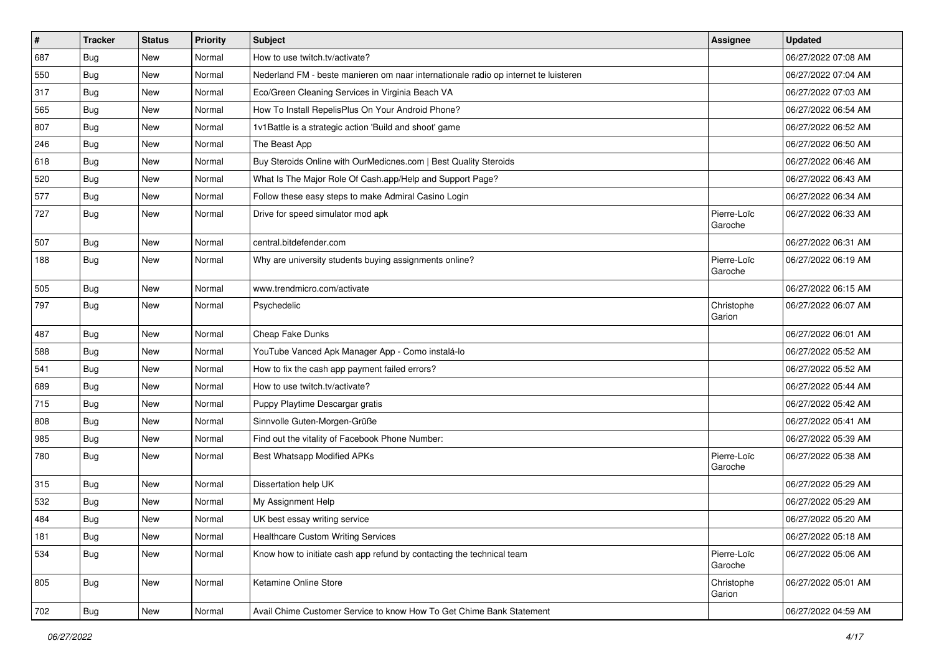| #   | <b>Tracker</b> | <b>Status</b> | <b>Priority</b> | <b>Subject</b>                                                                      | <b>Assignee</b>        | <b>Updated</b>      |
|-----|----------------|---------------|-----------------|-------------------------------------------------------------------------------------|------------------------|---------------------|
| 687 | <b>Bug</b>     | New           | Normal          | How to use twitch.tv/activate?                                                      |                        | 06/27/2022 07:08 AM |
| 550 | Bug            | <b>New</b>    | Normal          | Nederland FM - beste manieren om naar internationale radio op internet te luisteren |                        | 06/27/2022 07:04 AM |
| 317 | Bug            | New           | Normal          | Eco/Green Cleaning Services in Virginia Beach VA                                    |                        | 06/27/2022 07:03 AM |
| 565 | <b>Bug</b>     | New           | Normal          | How To Install RepelisPlus On Your Android Phone?                                   |                        | 06/27/2022 06:54 AM |
| 807 | Bug            | <b>New</b>    | Normal          | 1v1Battle is a strategic action 'Build and shoot' game                              |                        | 06/27/2022 06:52 AM |
| 246 | <b>Bug</b>     | New           | Normal          | The Beast App                                                                       |                        | 06/27/2022 06:50 AM |
| 618 | <b>Bug</b>     | New           | Normal          | Buy Steroids Online with OurMedicnes.com   Best Quality Steroids                    |                        | 06/27/2022 06:46 AM |
| 520 | Bug            | New           | Normal          | What Is The Major Role Of Cash.app/Help and Support Page?                           |                        | 06/27/2022 06:43 AM |
| 577 | Bug            | New           | Normal          | Follow these easy steps to make Admiral Casino Login                                |                        | 06/27/2022 06:34 AM |
| 727 | <b>Bug</b>     | New           | Normal          | Drive for speed simulator mod apk                                                   | Pierre-Loïc<br>Garoche | 06/27/2022 06:33 AM |
| 507 | <b>Bug</b>     | New           | Normal          | central.bitdefender.com                                                             |                        | 06/27/2022 06:31 AM |
| 188 | <b>Bug</b>     | <b>New</b>    | Normal          | Why are university students buying assignments online?                              | Pierre-Loïc<br>Garoche | 06/27/2022 06:19 AM |
| 505 | <b>Bug</b>     | New           | Normal          | www.trendmicro.com/activate                                                         |                        | 06/27/2022 06:15 AM |
| 797 | <b>Bug</b>     | <b>New</b>    | Normal          | Psychedelic                                                                         | Christophe<br>Garion   | 06/27/2022 06:07 AM |
| 487 | <b>Bug</b>     | <b>New</b>    | Normal          | Cheap Fake Dunks                                                                    |                        | 06/27/2022 06:01 AM |
| 588 | <b>Bug</b>     | New           | Normal          | YouTube Vanced Apk Manager App - Como instalá-lo                                    |                        | 06/27/2022 05:52 AM |
| 541 | <b>Bug</b>     | New           | Normal          | How to fix the cash app payment failed errors?                                      |                        | 06/27/2022 05:52 AM |
| 689 | Bug            | <b>New</b>    | Normal          | How to use twitch.tv/activate?                                                      |                        | 06/27/2022 05:44 AM |
| 715 | Bug            | New           | Normal          | Puppy Playtime Descargar gratis                                                     |                        | 06/27/2022 05:42 AM |
| 808 | <b>Bug</b>     | New           | Normal          | Sinnvolle Guten-Morgen-Grüße                                                        |                        | 06/27/2022 05:41 AM |
| 985 | Bug            | New           | Normal          | Find out the vitality of Facebook Phone Number:                                     |                        | 06/27/2022 05:39 AM |
| 780 | <b>Bug</b>     | New           | Normal          | <b>Best Whatsapp Modified APKs</b>                                                  | Pierre-Loïc<br>Garoche | 06/27/2022 05:38 AM |
| 315 | Bug            | New           | Normal          | Dissertation help UK                                                                |                        | 06/27/2022 05:29 AM |
| 532 | <b>Bug</b>     | New           | Normal          | My Assignment Help                                                                  |                        | 06/27/2022 05:29 AM |
| 484 | Bug            | <b>New</b>    | Normal          | UK best essay writing service                                                       |                        | 06/27/2022 05:20 AM |
| 181 | <b>Bug</b>     | New           | Normal          | <b>Healthcare Custom Writing Services</b>                                           |                        | 06/27/2022 05:18 AM |
| 534 | Bug            | New           | Normal          | Know how to initiate cash app refund by contacting the technical team               | Pierre-Loïc<br>Garoche | 06/27/2022 05:06 AM |
| 805 | Bug            | New           | Normal          | Ketamine Online Store                                                               | Christophe<br>Garion   | 06/27/2022 05:01 AM |
| 702 | <b>Bug</b>     | New           | Normal          | Avail Chime Customer Service to know How To Get Chime Bank Statement                |                        | 06/27/2022 04:59 AM |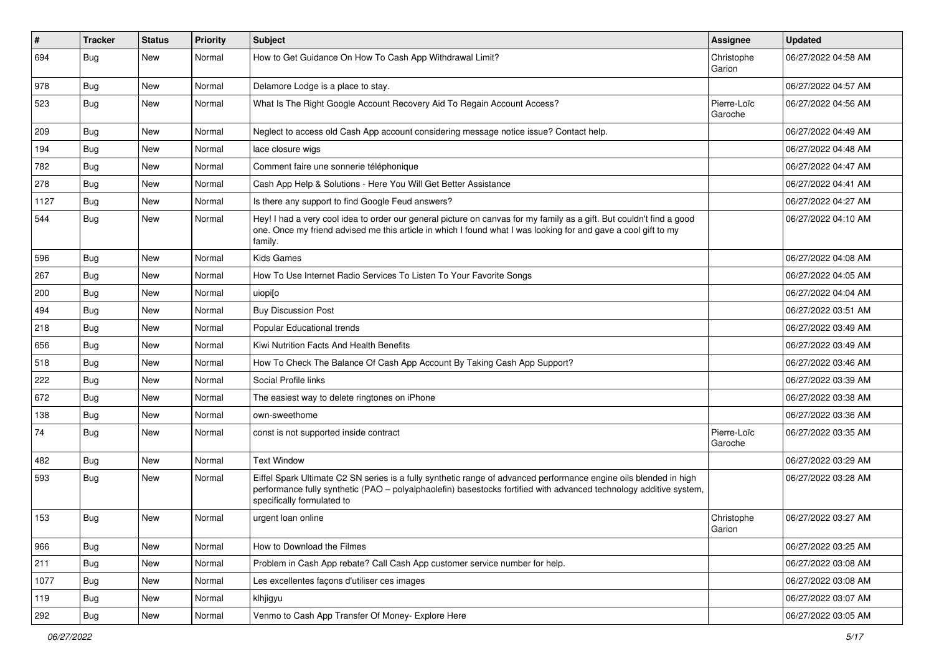| $\vert$ # | Tracker    | <b>Status</b> | <b>Priority</b> | <b>Subject</b>                                                                                                                                                                                                                                                        | <b>Assignee</b>        | <b>Updated</b>      |
|-----------|------------|---------------|-----------------|-----------------------------------------------------------------------------------------------------------------------------------------------------------------------------------------------------------------------------------------------------------------------|------------------------|---------------------|
| 694       | <b>Bug</b> | New           | Normal          | How to Get Guidance On How To Cash App Withdrawal Limit?                                                                                                                                                                                                              | Christophe<br>Garion   | 06/27/2022 04:58 AM |
| 978       | Bug        | New           | Normal          | Delamore Lodge is a place to stay.                                                                                                                                                                                                                                    |                        | 06/27/2022 04:57 AM |
| 523       | <b>Bug</b> | New           | Normal          | What Is The Right Google Account Recovery Aid To Regain Account Access?                                                                                                                                                                                               | Pierre-Loïc<br>Garoche | 06/27/2022 04:56 AM |
| 209       | <b>Bug</b> | New           | Normal          | Neglect to access old Cash App account considering message notice issue? Contact help.                                                                                                                                                                                |                        | 06/27/2022 04:49 AM |
| 194       | <b>Bug</b> | New           | Normal          | lace closure wigs                                                                                                                                                                                                                                                     |                        | 06/27/2022 04:48 AM |
| 782       | <b>Bug</b> | New           | Normal          | Comment faire une sonnerie téléphonique                                                                                                                                                                                                                               |                        | 06/27/2022 04:47 AM |
| 278       | <b>Bug</b> | New           | Normal          | Cash App Help & Solutions - Here You Will Get Better Assistance                                                                                                                                                                                                       |                        | 06/27/2022 04:41 AM |
| 1127      | Bug        | New           | Normal          | Is there any support to find Google Feud answers?                                                                                                                                                                                                                     |                        | 06/27/2022 04:27 AM |
| 544       | Bug        | New           | Normal          | Hey! I had a very cool idea to order our general picture on canvas for my family as a gift. But couldn't find a good<br>one. Once my friend advised me this article in which I found what I was looking for and gave a cool gift to my<br>family.                     |                        | 06/27/2022 04:10 AM |
| 596       | <b>Bug</b> | New           | Normal          | Kids Games                                                                                                                                                                                                                                                            |                        | 06/27/2022 04:08 AM |
| 267       | Bug        | New           | Normal          | How To Use Internet Radio Services To Listen To Your Favorite Songs                                                                                                                                                                                                   |                        | 06/27/2022 04:05 AM |
| 200       | Bug        | New           | Normal          | uiopi[o                                                                                                                                                                                                                                                               |                        | 06/27/2022 04:04 AM |
| 494       | Bug        | New           | Normal          | <b>Buy Discussion Post</b>                                                                                                                                                                                                                                            |                        | 06/27/2022 03:51 AM |
| 218       | Bug        | New           | Normal          | <b>Popular Educational trends</b>                                                                                                                                                                                                                                     |                        | 06/27/2022 03:49 AM |
| 656       | <b>Bug</b> | New           | Normal          | Kiwi Nutrition Facts And Health Benefits                                                                                                                                                                                                                              |                        | 06/27/2022 03:49 AM |
| 518       | <b>Bug</b> | New           | Normal          | How To Check The Balance Of Cash App Account By Taking Cash App Support?                                                                                                                                                                                              |                        | 06/27/2022 03:46 AM |
| 222       | Bug        | New           | Normal          | Social Profile links                                                                                                                                                                                                                                                  |                        | 06/27/2022 03:39 AM |
| 672       | Bug        | New           | Normal          | The easiest way to delete ringtones on iPhone                                                                                                                                                                                                                         |                        | 06/27/2022 03:38 AM |
| 138       | <b>Bug</b> | New           | Normal          | own-sweethome                                                                                                                                                                                                                                                         |                        | 06/27/2022 03:36 AM |
| 74        | <b>Bug</b> | New           | Normal          | const is not supported inside contract                                                                                                                                                                                                                                | Pierre-Loïc<br>Garoche | 06/27/2022 03:35 AM |
| 482       | Bug        | New           | Normal          | <b>Text Window</b>                                                                                                                                                                                                                                                    |                        | 06/27/2022 03:29 AM |
| 593       | Bug        | New           | Normal          | Eiffel Spark Ultimate C2 SN series is a fully synthetic range of advanced performance engine oils blended in high<br>performance fully synthetic (PAO – polyalphaolefin) basestocks fortified with advanced technology additive system,<br>specifically formulated to |                        | 06/27/2022 03:28 AM |
| 153       | Bug        | New           | Normal          | urgent loan online                                                                                                                                                                                                                                                    | Christophe<br>Garion   | 06/27/2022 03:27 AM |
| 966       | Bug        | New           | Normal          | How to Download the Filmes                                                                                                                                                                                                                                            |                        | 06/27/2022 03:25 AM |
| 211       | Bug        | New           | Normal          | Problem in Cash App rebate? Call Cash App customer service number for help.                                                                                                                                                                                           |                        | 06/27/2022 03:08 AM |
| 1077      | Bug        | New           | Normal          | Les excellentes façons d'utiliser ces images                                                                                                                                                                                                                          |                        | 06/27/2022 03:08 AM |
| 119       | <b>Bug</b> | New           | Normal          | klhjigyu                                                                                                                                                                                                                                                              |                        | 06/27/2022 03:07 AM |
| 292       | Bug        | New           | Normal          | Venmo to Cash App Transfer Of Money- Explore Here                                                                                                                                                                                                                     |                        | 06/27/2022 03:05 AM |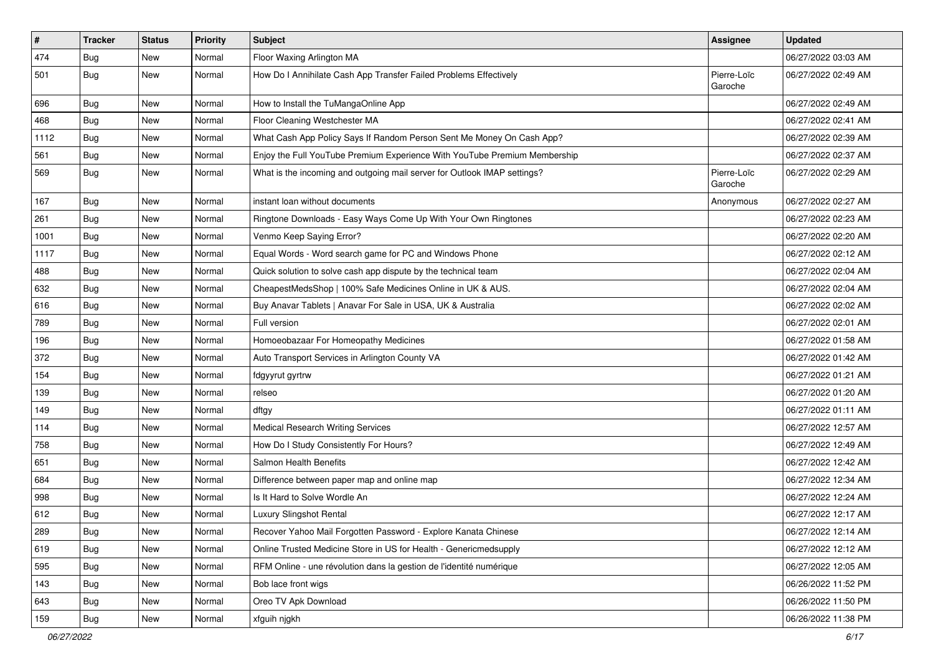| $\sharp$ | <b>Tracker</b> | <b>Status</b> | <b>Priority</b> | <b>Subject</b>                                                            | Assignee               | <b>Updated</b>      |
|----------|----------------|---------------|-----------------|---------------------------------------------------------------------------|------------------------|---------------------|
| 474      | <b>Bug</b>     | New           | Normal          | Floor Waxing Arlington MA                                                 |                        | 06/27/2022 03:03 AM |
| 501      | <b>Bug</b>     | New           | Normal          | How Do I Annihilate Cash App Transfer Failed Problems Effectively         | Pierre-Loïc<br>Garoche | 06/27/2022 02:49 AM |
| 696      | Bug            | New           | Normal          | How to Install the TuMangaOnline App                                      |                        | 06/27/2022 02:49 AM |
| 468      | Bug            | New           | Normal          | Floor Cleaning Westchester MA                                             |                        | 06/27/2022 02:41 AM |
| 1112     | <b>Bug</b>     | New           | Normal          | What Cash App Policy Says If Random Person Sent Me Money On Cash App?     |                        | 06/27/2022 02:39 AM |
| 561      | Bug            | New           | Normal          | Enjoy the Full YouTube Premium Experience With YouTube Premium Membership |                        | 06/27/2022 02:37 AM |
| 569      | <b>Bug</b>     | New           | Normal          | What is the incoming and outgoing mail server for Outlook IMAP settings?  | Pierre-Loïc<br>Garoche | 06/27/2022 02:29 AM |
| 167      | Bug            | <b>New</b>    | Normal          | instant loan without documents                                            | Anonymous              | 06/27/2022 02:27 AM |
| 261      | <b>Bug</b>     | New           | Normal          | Ringtone Downloads - Easy Ways Come Up With Your Own Ringtones            |                        | 06/27/2022 02:23 AM |
| 1001     | <b>Bug</b>     | New           | Normal          | Venmo Keep Saying Error?                                                  |                        | 06/27/2022 02:20 AM |
| 1117     | Bug            | New           | Normal          | Equal Words - Word search game for PC and Windows Phone                   |                        | 06/27/2022 02:12 AM |
| 488      | <b>Bug</b>     | New           | Normal          | Quick solution to solve cash app dispute by the technical team            |                        | 06/27/2022 02:04 AM |
| 632      | Bug            | New           | Normal          | CheapestMedsShop   100% Safe Medicines Online in UK & AUS.                |                        | 06/27/2022 02:04 AM |
| 616      | Bug            | New           | Normal          | Buy Anavar Tablets   Anavar For Sale in USA, UK & Australia               |                        | 06/27/2022 02:02 AM |
| 789      | <b>Bug</b>     | New           | Normal          | Full version                                                              |                        | 06/27/2022 02:01 AM |
| 196      | Bug            | New           | Normal          | Homoeobazaar For Homeopathy Medicines                                     |                        | 06/27/2022 01:58 AM |
| 372      | Bug            | New           | Normal          | Auto Transport Services in Arlington County VA                            |                        | 06/27/2022 01:42 AM |
| 154      | Bug            | New           | Normal          | fdgyyrut gyrtrw                                                           |                        | 06/27/2022 01:21 AM |
| 139      | Bug            | New           | Normal          | relseo                                                                    |                        | 06/27/2022 01:20 AM |
| 149      | Bug            | New           | Normal          | dftgy                                                                     |                        | 06/27/2022 01:11 AM |
| 114      | <b>Bug</b>     | <b>New</b>    | Normal          | <b>Medical Research Writing Services</b>                                  |                        | 06/27/2022 12:57 AM |
| 758      | Bug            | New           | Normal          | How Do I Study Consistently For Hours?                                    |                        | 06/27/2022 12:49 AM |
| 651      | <b>Bug</b>     | New           | Normal          | Salmon Health Benefits                                                    |                        | 06/27/2022 12:42 AM |
| 684      | Bug            | New           | Normal          | Difference between paper map and online map                               |                        | 06/27/2022 12:34 AM |
| 998      | <b>Bug</b>     | New           | Normal          | Is It Hard to Solve Wordle An                                             |                        | 06/27/2022 12:24 AM |
| 612      | <b>Bug</b>     | New           | Normal          | Luxury Slingshot Rental                                                   |                        | 06/27/2022 12:17 AM |
| 289      | Bug            | New           | Normal          | Recover Yahoo Mail Forgotten Password - Explore Kanata Chinese            |                        | 06/27/2022 12:14 AM |
| 619      | Bug            | New           | Normal          | Online Trusted Medicine Store in US for Health - Genericmedsupply         |                        | 06/27/2022 12:12 AM |
| 595      | Bug            | New           | Normal          | RFM Online - une révolution dans la gestion de l'identité numérique       |                        | 06/27/2022 12:05 AM |
| 143      | Bug            | New           | Normal          | Bob lace front wigs                                                       |                        | 06/26/2022 11:52 PM |
| 643      | Bug            | New           | Normal          | Oreo TV Apk Download                                                      |                        | 06/26/2022 11:50 PM |
| 159      | Bug            | New           | Normal          | xfguih njgkh                                                              |                        | 06/26/2022 11:38 PM |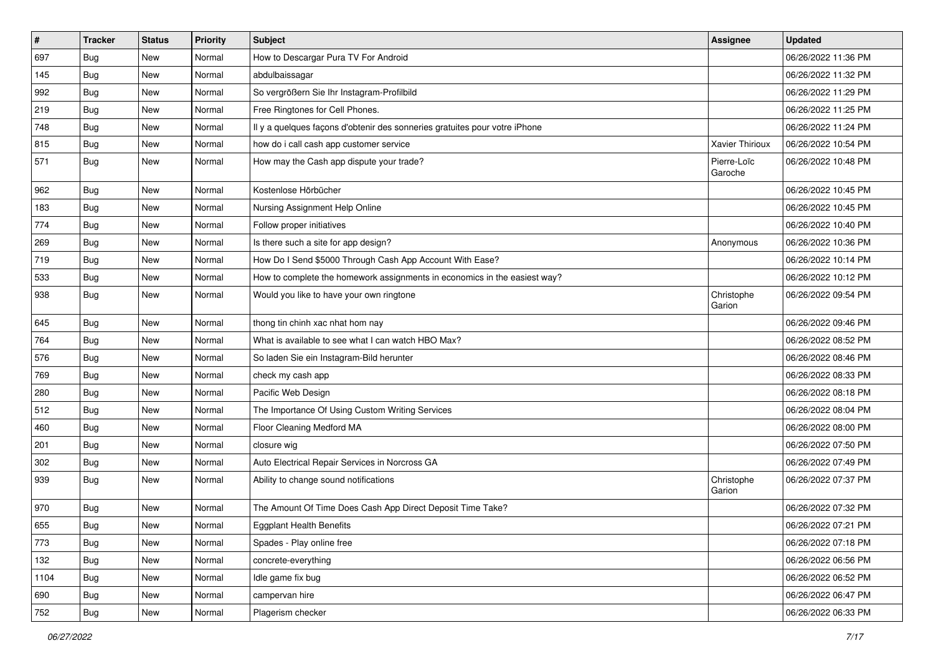| $\vert$ # | <b>Tracker</b> | <b>Status</b> | <b>Priority</b> | <b>Subject</b>                                                             | <b>Assignee</b>        | <b>Updated</b>      |
|-----------|----------------|---------------|-----------------|----------------------------------------------------------------------------|------------------------|---------------------|
| 697       | Bug            | New           | Normal          | How to Descargar Pura TV For Android                                       |                        | 06/26/2022 11:36 PM |
| 145       | <b>Bug</b>     | New           | Normal          | abdulbaissagar                                                             |                        | 06/26/2022 11:32 PM |
| 992       | <b>Bug</b>     | New           | Normal          | So vergrößern Sie Ihr Instagram-Profilbild                                 |                        | 06/26/2022 11:29 PM |
| 219       | <b>Bug</b>     | New           | Normal          | Free Ringtones for Cell Phones.                                            |                        | 06/26/2022 11:25 PM |
| 748       | Bug            | <b>New</b>    | Normal          | Il y a quelques façons d'obtenir des sonneries gratuites pour votre iPhone |                        | 06/26/2022 11:24 PM |
| 815       | Bug            | New           | Normal          | how do i call cash app customer service                                    | <b>Xavier Thirioux</b> | 06/26/2022 10:54 PM |
| 571       | <b>Bug</b>     | New           | Normal          | How may the Cash app dispute your trade?                                   | Pierre-Loïc<br>Garoche | 06/26/2022 10:48 PM |
| 962       | Bug            | New           | Normal          | Kostenlose Hörbücher                                                       |                        | 06/26/2022 10:45 PM |
| 183       | Bug            | New           | Normal          | Nursing Assignment Help Online                                             |                        | 06/26/2022 10:45 PM |
| 774       | <b>Bug</b>     | New           | Normal          | Follow proper initiatives                                                  |                        | 06/26/2022 10:40 PM |
| 269       | <b>Bug</b>     | New           | Normal          | Is there such a site for app design?                                       | Anonymous              | 06/26/2022 10:36 PM |
| 719       | Bug            | <b>New</b>    | Normal          | How Do I Send \$5000 Through Cash App Account With Ease?                   |                        | 06/26/2022 10:14 PM |
| 533       | Bug            | New           | Normal          | How to complete the homework assignments in economics in the easiest way?  |                        | 06/26/2022 10:12 PM |
| 938       | <b>Bug</b>     | New           | Normal          | Would you like to have your own ringtone                                   | Christophe<br>Garion   | 06/26/2022 09:54 PM |
| 645       | Bug            | New           | Normal          | thong tin chinh xac nhat hom nay                                           |                        | 06/26/2022 09:46 PM |
| 764       | Bug            | <b>New</b>    | Normal          | What is available to see what I can watch HBO Max?                         |                        | 06/26/2022 08:52 PM |
| 576       | Bug            | New           | Normal          | So laden Sie ein Instagram-Bild herunter                                   |                        | 06/26/2022 08:46 PM |
| 769       | Bug            | New           | Normal          | check my cash app                                                          |                        | 06/26/2022 08:33 PM |
| 280       | Bug            | <b>New</b>    | Normal          | Pacific Web Design                                                         |                        | 06/26/2022 08:18 PM |
| 512       | <b>Bug</b>     | New           | Normal          | The Importance Of Using Custom Writing Services                            |                        | 06/26/2022 08:04 PM |
| 460       | <b>Bug</b>     | New           | Normal          | Floor Cleaning Medford MA                                                  |                        | 06/26/2022 08:00 PM |
| 201       | <b>Bug</b>     | New           | Normal          | closure wig                                                                |                        | 06/26/2022 07:50 PM |
| 302       | <b>Bug</b>     | New           | Normal          | Auto Electrical Repair Services in Norcross GA                             |                        | 06/26/2022 07:49 PM |
| 939       | Bug            | <b>New</b>    | Normal          | Ability to change sound notifications                                      | Christophe<br>Garion   | 06/26/2022 07:37 PM |
| 970       | <b>Bug</b>     | New           | Normal          | The Amount Of Time Does Cash App Direct Deposit Time Take?                 |                        | 06/26/2022 07:32 PM |
| 655       | Bug            | New           | Normal          | Eggplant Health Benefits                                                   |                        | 06/26/2022 07:21 PM |
| 773       | <b>Bug</b>     | New           | Normal          | Spades - Play online free                                                  |                        | 06/26/2022 07:18 PM |
| 132       | Bug            | New           | Normal          | concrete-everything                                                        |                        | 06/26/2022 06:56 PM |
| 1104      | <b>Bug</b>     | New           | Normal          | Idle game fix bug                                                          |                        | 06/26/2022 06:52 PM |
| 690       | Bug            | New           | Normal          | campervan hire                                                             |                        | 06/26/2022 06:47 PM |
| 752       | <b>Bug</b>     | New           | Normal          | Plagerism checker                                                          |                        | 06/26/2022 06:33 PM |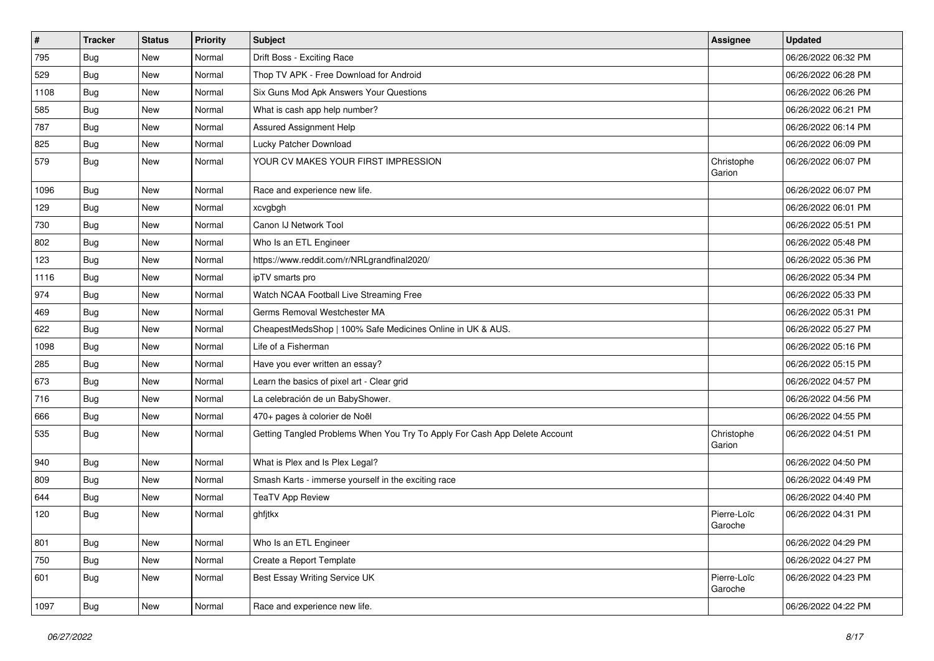| $\vert$ # | <b>Tracker</b> | <b>Status</b> | <b>Priority</b> | <b>Subject</b>                                                             | <b>Assignee</b>        | <b>Updated</b>      |
|-----------|----------------|---------------|-----------------|----------------------------------------------------------------------------|------------------------|---------------------|
| 795       | Bug            | New           | Normal          | Drift Boss - Exciting Race                                                 |                        | 06/26/2022 06:32 PM |
| 529       | Bug            | <b>New</b>    | Normal          | Thop TV APK - Free Download for Android                                    |                        | 06/26/2022 06:28 PM |
| 1108      | Bug            | New           | Normal          | Six Guns Mod Apk Answers Your Questions                                    |                        | 06/26/2022 06:26 PM |
| 585       | Bug            | New           | Normal          | What is cash app help number?                                              |                        | 06/26/2022 06:21 PM |
| 787       | Bug            | <b>New</b>    | Normal          | <b>Assured Assignment Help</b>                                             |                        | 06/26/2022 06:14 PM |
| 825       | Bug            | New           | Normal          | Lucky Patcher Download                                                     |                        | 06/26/2022 06:09 PM |
| 579       | Bug            | New           | Normal          | YOUR CV MAKES YOUR FIRST IMPRESSION                                        | Christophe<br>Garion   | 06/26/2022 06:07 PM |
| 1096      | Bug            | New           | Normal          | Race and experience new life.                                              |                        | 06/26/2022 06:07 PM |
| 129       | Bug            | <b>New</b>    | Normal          | xcvgbgh                                                                    |                        | 06/26/2022 06:01 PM |
| 730       | Bug            | New           | Normal          | Canon IJ Network Tool                                                      |                        | 06/26/2022 05:51 PM |
| 802       | Bug            | New           | Normal          | Who Is an ETL Engineer                                                     |                        | 06/26/2022 05:48 PM |
| 123       | Bug            | <b>New</b>    | Normal          | https://www.reddit.com/r/NRLgrandfinal2020/                                |                        | 06/26/2022 05:36 PM |
| 1116      | Bug            | <b>New</b>    | Normal          | ipTV smarts pro                                                            |                        | 06/26/2022 05:34 PM |
| 974       | Bug            | New           | Normal          | Watch NCAA Football Live Streaming Free                                    |                        | 06/26/2022 05:33 PM |
| 469       | Bug            | New           | Normal          | Germs Removal Westchester MA                                               |                        | 06/26/2022 05:31 PM |
| 622       | <b>Bug</b>     | New           | Normal          | CheapestMedsShop   100% Safe Medicines Online in UK & AUS.                 |                        | 06/26/2022 05:27 PM |
| 1098      | Bug            | <b>New</b>    | Normal          | Life of a Fisherman                                                        |                        | 06/26/2022 05:16 PM |
| 285       | Bug            | New           | Normal          | Have you ever written an essay?                                            |                        | 06/26/2022 05:15 PM |
| 673       | Bug            | <b>New</b>    | Normal          | Learn the basics of pixel art - Clear grid                                 |                        | 06/26/2022 04:57 PM |
| 716       | Bug            | New           | Normal          | La celebración de un BabyShower.                                           |                        | 06/26/2022 04:56 PM |
| 666       | Bug            | New           | Normal          | 470+ pages à colorier de Noël                                              |                        | 06/26/2022 04:55 PM |
| 535       | Bug            | <b>New</b>    | Normal          | Getting Tangled Problems When You Try To Apply For Cash App Delete Account | Christophe<br>Garion   | 06/26/2022 04:51 PM |
| 940       | Bug            | New           | Normal          | What is Plex and Is Plex Legal?                                            |                        | 06/26/2022 04:50 PM |
| 809       | Bug            | <b>New</b>    | Normal          | Smash Karts - immerse yourself in the exciting race                        |                        | 06/26/2022 04:49 PM |
| 644       | Bug            | New           | Normal          | <b>TeaTV App Review</b>                                                    |                        | 06/26/2022 04:40 PM |
| 120       | Bug            | New           | Normal          | ghfjtkx                                                                    | Pierre-Loïc<br>Garoche | 06/26/2022 04:31 PM |
| 801       | Bug            | <b>New</b>    | Normal          | Who Is an ETL Engineer                                                     |                        | 06/26/2022 04:29 PM |
| 750       | <b>Bug</b>     | New           | Normal          | Create a Report Template                                                   |                        | 06/26/2022 04:27 PM |
| 601       | Bug            | New           | Normal          | Best Essay Writing Service UK                                              | Pierre-Loïc<br>Garoche | 06/26/2022 04:23 PM |
| 1097      | <b>Bug</b>     | New           | Normal          | Race and experience new life.                                              |                        | 06/26/2022 04:22 PM |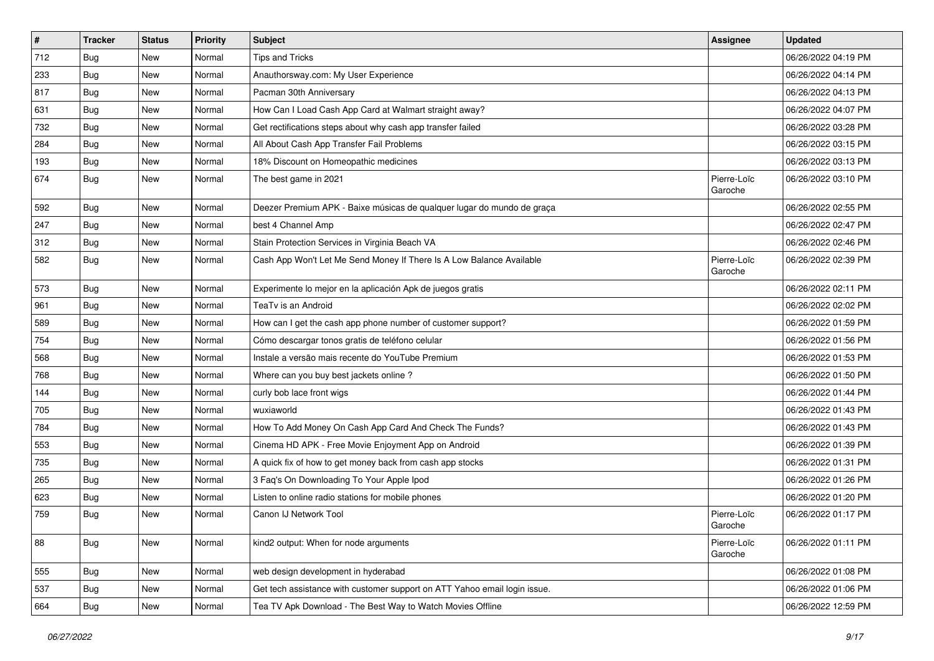| $\vert$ # | <b>Tracker</b> | <b>Status</b> | <b>Priority</b> | <b>Subject</b>                                                            | <b>Assignee</b>        | <b>Updated</b>      |
|-----------|----------------|---------------|-----------------|---------------------------------------------------------------------------|------------------------|---------------------|
| 712       | Bug            | New           | Normal          | <b>Tips and Tricks</b>                                                    |                        | 06/26/2022 04:19 PM |
| 233       | Bug            | <b>New</b>    | Normal          | Anauthorsway.com: My User Experience                                      |                        | 06/26/2022 04:14 PM |
| 817       | <b>Bug</b>     | New           | Normal          | Pacman 30th Anniversary                                                   |                        | 06/26/2022 04:13 PM |
| 631       | <b>Bug</b>     | New           | Normal          | How Can I Load Cash App Card at Walmart straight away?                    |                        | 06/26/2022 04:07 PM |
| 732       | Bug            | <b>New</b>    | Normal          | Get rectifications steps about why cash app transfer failed               |                        | 06/26/2022 03:28 PM |
| 284       | <b>Bug</b>     | New           | Normal          | All About Cash App Transfer Fail Problems                                 |                        | 06/26/2022 03:15 PM |
| 193       | Bug            | New           | Normal          | 18% Discount on Homeopathic medicines                                     |                        | 06/26/2022 03:13 PM |
| 674       | Bug            | New           | Normal          | The best game in 2021                                                     | Pierre-Loïc<br>Garoche | 06/26/2022 03:10 PM |
| 592       | Bug            | <b>New</b>    | Normal          | Deezer Premium APK - Baixe músicas de qualquer lugar do mundo de graça    |                        | 06/26/2022 02:55 PM |
| 247       | Bug            | New           | Normal          | best 4 Channel Amp                                                        |                        | 06/26/2022 02:47 PM |
| 312       | <b>Bug</b>     | New           | Normal          | Stain Protection Services in Virginia Beach VA                            |                        | 06/26/2022 02:46 PM |
| 582       | Bug            | New           | Normal          | Cash App Won't Let Me Send Money If There Is A Low Balance Available      | Pierre-Loïc<br>Garoche | 06/26/2022 02:39 PM |
| 573       | Bug            | <b>New</b>    | Normal          | Experimente lo mejor en la aplicación Apk de juegos gratis                |                        | 06/26/2022 02:11 PM |
| 961       | Bug            | New           | Normal          | TeaTv is an Android                                                       |                        | 06/26/2022 02:02 PM |
| 589       | Bug            | New           | Normal          | How can I get the cash app phone number of customer support?              |                        | 06/26/2022 01:59 PM |
| 754       | Bug            | <b>New</b>    | Normal          | Cómo descargar tonos gratis de teléfono celular                           |                        | 06/26/2022 01:56 PM |
| 568       | Bug            | New           | Normal          | Instale a versão mais recente do YouTube Premium                          |                        | 06/26/2022 01:53 PM |
| 768       | Bug            | <b>New</b>    | Normal          | Where can you buy best jackets online?                                    |                        | 06/26/2022 01:50 PM |
| 144       | Bug            | New           | Normal          | curly bob lace front wigs                                                 |                        | 06/26/2022 01:44 PM |
| 705       | <b>Bug</b>     | New           | Normal          | wuxiaworld                                                                |                        | 06/26/2022 01:43 PM |
| 784       | Bug            | <b>New</b>    | Normal          | How To Add Money On Cash App Card And Check The Funds?                    |                        | 06/26/2022 01:43 PM |
| 553       | <b>Bug</b>     | New           | Normal          | Cinema HD APK - Free Movie Enjoyment App on Android                       |                        | 06/26/2022 01:39 PM |
| 735       | <b>Bug</b>     | New           | Normal          | A quick fix of how to get money back from cash app stocks                 |                        | 06/26/2022 01:31 PM |
| 265       | Bug            | <b>New</b>    | Normal          | 3 Faq's On Downloading To Your Apple Ipod                                 |                        | 06/26/2022 01:26 PM |
| 623       | <b>Bug</b>     | New           | Normal          | Listen to online radio stations for mobile phones                         |                        | 06/26/2022 01:20 PM |
| 759       | Bug            | New           | Normal          | Canon IJ Network Tool                                                     | Pierre-Loïc<br>Garoche | 06/26/2022 01:17 PM |
| 88        | Bug            | New           | Normal          | kind2 output: When for node arguments                                     | Pierre-Loïc<br>Garoche | 06/26/2022 01:11 PM |
| 555       | <b>Bug</b>     | New           | Normal          | web design development in hyderabad                                       |                        | 06/26/2022 01:08 PM |
| 537       | <b>Bug</b>     | <b>New</b>    | Normal          | Get tech assistance with customer support on ATT Yahoo email login issue. |                        | 06/26/2022 01:06 PM |
| 664       | <b>Bug</b>     | New           | Normal          | Tea TV Apk Download - The Best Way to Watch Movies Offline                |                        | 06/26/2022 12:59 PM |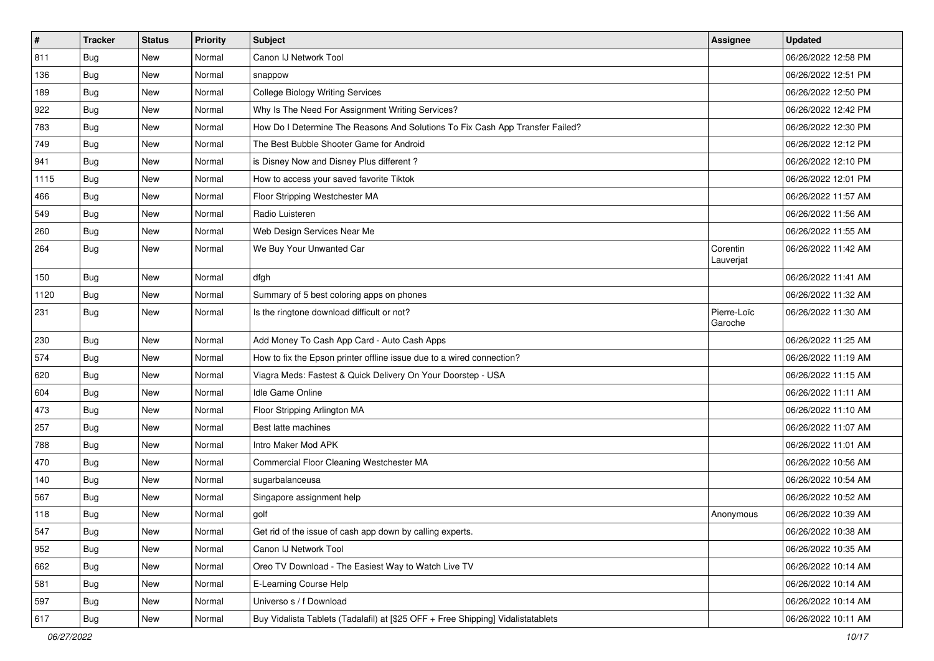| $\vert$ # | <b>Tracker</b> | <b>Status</b> | <b>Priority</b> | <b>Subject</b>                                                                   | <b>Assignee</b>        | <b>Updated</b>      |
|-----------|----------------|---------------|-----------------|----------------------------------------------------------------------------------|------------------------|---------------------|
| 811       | <b>Bug</b>     | New           | Normal          | Canon IJ Network Tool                                                            |                        | 06/26/2022 12:58 PM |
| 136       | Bug            | <b>New</b>    | Normal          | snappow                                                                          |                        | 06/26/2022 12:51 PM |
| 189       | Bug            | New           | Normal          | <b>College Biology Writing Services</b>                                          |                        | 06/26/2022 12:50 PM |
| 922       | <b>Bug</b>     | New           | Normal          | Why Is The Need For Assignment Writing Services?                                 |                        | 06/26/2022 12:42 PM |
| 783       | Bug            | <b>New</b>    | Normal          | How Do I Determine The Reasons And Solutions To Fix Cash App Transfer Failed?    |                        | 06/26/2022 12:30 PM |
| 749       | <b>Bug</b>     | New           | Normal          | The Best Bubble Shooter Game for Android                                         |                        | 06/26/2022 12:12 PM |
| 941       | Bug            | New           | Normal          | is Disney Now and Disney Plus different?                                         |                        | 06/26/2022 12:10 PM |
| 1115      | Bug            | New           | Normal          | How to access your saved favorite Tiktok                                         |                        | 06/26/2022 12:01 PM |
| 466       | <b>Bug</b>     | <b>New</b>    | Normal          | Floor Stripping Westchester MA                                                   |                        | 06/26/2022 11:57 AM |
| 549       | Bug            | <b>New</b>    | Normal          | Radio Luisteren                                                                  |                        | 06/26/2022 11:56 AM |
| 260       | Bug            | New           | Normal          | Web Design Services Near Me                                                      |                        | 06/26/2022 11:55 AM |
| 264       | <b>Bug</b>     | New           | Normal          | We Buy Your Unwanted Car                                                         | Corentin<br>Lauverjat  | 06/26/2022 11:42 AM |
| 150       | Bug            | New           | Normal          | dfgh                                                                             |                        | 06/26/2022 11:41 AM |
| 1120      | Bug            | <b>New</b>    | Normal          | Summary of 5 best coloring apps on phones                                        |                        | 06/26/2022 11:32 AM |
| 231       | Bug            | New           | Normal          | Is the ringtone download difficult or not?                                       | Pierre-Loïc<br>Garoche | 06/26/2022 11:30 AM |
| 230       | Bug            | <b>New</b>    | Normal          | Add Money To Cash App Card - Auto Cash Apps                                      |                        | 06/26/2022 11:25 AM |
| 574       | Bug            | New           | Normal          | How to fix the Epson printer offline issue due to a wired connection?            |                        | 06/26/2022 11:19 AM |
| 620       | <b>Bug</b>     | New           | Normal          | Viagra Meds: Fastest & Quick Delivery On Your Doorstep - USA                     |                        | 06/26/2022 11:15 AM |
| 604       | Bug            | <b>New</b>    | Normal          | <b>Idle Game Online</b>                                                          |                        | 06/26/2022 11:11 AM |
| 473       | Bug            | <b>New</b>    | Normal          | Floor Stripping Arlington MA                                                     |                        | 06/26/2022 11:10 AM |
| 257       | Bug            | New           | Normal          | Best latte machines                                                              |                        | 06/26/2022 11:07 AM |
| 788       | <b>Bug</b>     | New           | Normal          | Intro Maker Mod APK                                                              |                        | 06/26/2022 11:01 AM |
| 470       | <b>Bug</b>     | New           | Normal          | Commercial Floor Cleaning Westchester MA                                         |                        | 06/26/2022 10:56 AM |
| 140       | Bug            | <b>New</b>    | Normal          | sugarbalanceusa                                                                  |                        | 06/26/2022 10:54 AM |
| 567       | <b>Bug</b>     | New           | Normal          | Singapore assignment help                                                        |                        | 06/26/2022 10:52 AM |
| 118       | <b>Bug</b>     | New           | Normal          | golf                                                                             | Anonymous              | 06/26/2022 10:39 AM |
| 547       | Bug            | New           | Normal          | Get rid of the issue of cash app down by calling experts.                        |                        | 06/26/2022 10:38 AM |
| 952       | Bug            | <b>New</b>    | Normal          | Canon IJ Network Tool                                                            |                        | 06/26/2022 10:35 AM |
| 662       | Bug            | <b>New</b>    | Normal          | Oreo TV Download - The Easiest Way to Watch Live TV                              |                        | 06/26/2022 10:14 AM |
| 581       | <b>Bug</b>     | New           | Normal          | E-Learning Course Help                                                           |                        | 06/26/2022 10:14 AM |
| 597       | <b>Bug</b>     | New           | Normal          | Universo s / f Download                                                          |                        | 06/26/2022 10:14 AM |
| 617       | <b>Bug</b>     | New           | Normal          | Buy Vidalista Tablets (Tadalafil) at [\$25 OFF + Free Shipping] Vidalistatablets |                        | 06/26/2022 10:11 AM |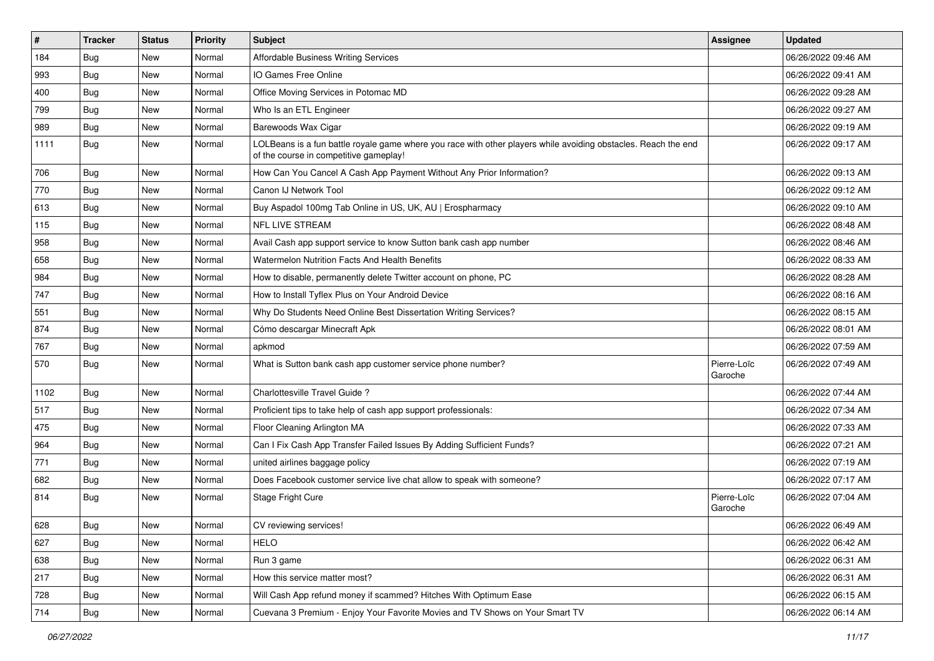| $\sharp$ | <b>Tracker</b> | <b>Status</b> | Priority | <b>Subject</b>                                                                                                                                           | <b>Assignee</b>        | <b>Updated</b>      |
|----------|----------------|---------------|----------|----------------------------------------------------------------------------------------------------------------------------------------------------------|------------------------|---------------------|
| 184      | Bug            | New           | Normal   | Affordable Business Writing Services                                                                                                                     |                        | 06/26/2022 09:46 AM |
| 993      | <b>Bug</b>     | <b>New</b>    | Normal   | IO Games Free Online                                                                                                                                     |                        | 06/26/2022 09:41 AM |
| 400      | Bug            | New           | Normal   | Office Moving Services in Potomac MD                                                                                                                     |                        | 06/26/2022 09:28 AM |
| 799      | Bug            | New           | Normal   | Who Is an ETL Engineer                                                                                                                                   |                        | 06/26/2022 09:27 AM |
| 989      | Bug            | New           | Normal   | Barewoods Wax Cigar                                                                                                                                      |                        | 06/26/2022 09:19 AM |
| 1111     | <b>Bug</b>     | New           | Normal   | LOLBeans is a fun battle royale game where you race with other players while avoiding obstacles. Reach the end<br>of the course in competitive gameplay! |                        | 06/26/2022 09:17 AM |
| 706      | Bug            | New           | Normal   | How Can You Cancel A Cash App Payment Without Any Prior Information?                                                                                     |                        | 06/26/2022 09:13 AM |
| 770      | Bug            | New           | Normal   | Canon IJ Network Tool                                                                                                                                    |                        | 06/26/2022 09:12 AM |
| 613      | Bug            | New           | Normal   | Buy Aspadol 100mg Tab Online in US, UK, AU   Erospharmacy                                                                                                |                        | 06/26/2022 09:10 AM |
| 115      | Bug            | New           | Normal   | <b>NFL LIVE STREAM</b>                                                                                                                                   |                        | 06/26/2022 08:48 AM |
| 958      | Bug            | New           | Normal   | Avail Cash app support service to know Sutton bank cash app number                                                                                       |                        | 06/26/2022 08:46 AM |
| 658      | <b>Bug</b>     | <b>New</b>    | Normal   | Watermelon Nutrition Facts And Health Benefits                                                                                                           |                        | 06/26/2022 08:33 AM |
| 984      | Bug            | New           | Normal   | How to disable, permanently delete Twitter account on phone, PC                                                                                          |                        | 06/26/2022 08:28 AM |
| 747      | Bug            | New           | Normal   | How to Install Tyflex Plus on Your Android Device                                                                                                        |                        | 06/26/2022 08:16 AM |
| 551      | Bug            | New           | Normal   | Why Do Students Need Online Best Dissertation Writing Services?                                                                                          |                        | 06/26/2022 08:15 AM |
| 874      | Bug            | New           | Normal   | Cómo descargar Minecraft Apk                                                                                                                             |                        | 06/26/2022 08:01 AM |
| 767      | Bug            | New           | Normal   | apkmod                                                                                                                                                   |                        | 06/26/2022 07:59 AM |
| 570      | <b>Bug</b>     | New           | Normal   | What is Sutton bank cash app customer service phone number?                                                                                              | Pierre-Loïc<br>Garoche | 06/26/2022 07:49 AM |
| 1102     | <b>Bug</b>     | <b>New</b>    | Normal   | Charlottesville Travel Guide?                                                                                                                            |                        | 06/26/2022 07:44 AM |
| 517      | Bug            | New           | Normal   | Proficient tips to take help of cash app support professionals:                                                                                          |                        | 06/26/2022 07:34 AM |
| 475      | Bug            | New           | Normal   | Floor Cleaning Arlington MA                                                                                                                              |                        | 06/26/2022 07:33 AM |
| 964      | <b>Bug</b>     | New           | Normal   | Can I Fix Cash App Transfer Failed Issues By Adding Sufficient Funds?                                                                                    |                        | 06/26/2022 07:21 AM |
| 771      | Bug            | New           | Normal   | united airlines baggage policy                                                                                                                           |                        | 06/26/2022 07:19 AM |
| 682      | Bug            | New           | Normal   | Does Facebook customer service live chat allow to speak with someone?                                                                                    |                        | 06/26/2022 07:17 AM |
| 814      | <b>Bug</b>     | New           | Normal   | Stage Fright Cure                                                                                                                                        | Pierre-Loïc<br>Garoche | 06/26/2022 07:04 AM |
| 628      | Bug            | New           | Normal   | CV reviewing services!                                                                                                                                   |                        | 06/26/2022 06:49 AM |
| 627      | Bug            | New           | Normal   | <b>HELO</b>                                                                                                                                              |                        | 06/26/2022 06:42 AM |
| 638      | Bug            | New           | Normal   | Run 3 game                                                                                                                                               |                        | 06/26/2022 06:31 AM |
| 217      | Bug            | New           | Normal   | How this service matter most?                                                                                                                            |                        | 06/26/2022 06:31 AM |
| 728      | Bug            | New           | Normal   | Will Cash App refund money if scammed? Hitches With Optimum Ease                                                                                         |                        | 06/26/2022 06:15 AM |
| 714      | <b>Bug</b>     | New           | Normal   | Cuevana 3 Premium - Enjoy Your Favorite Movies and TV Shows on Your Smart TV                                                                             |                        | 06/26/2022 06:14 AM |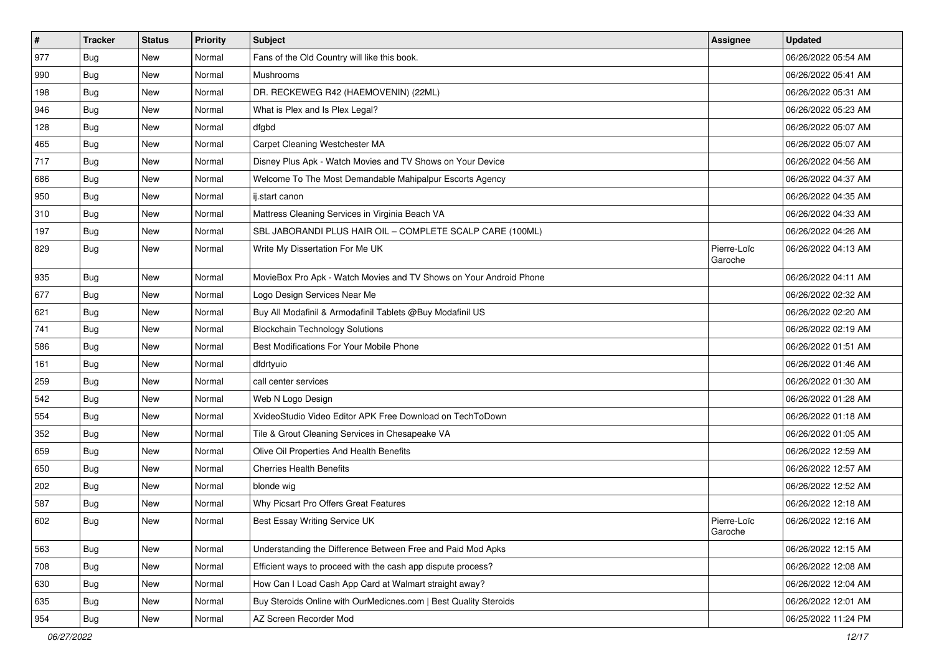| $\vert$ # | <b>Tracker</b> | <b>Status</b> | <b>Priority</b> | <b>Subject</b>                                                     | <b>Assignee</b>        | <b>Updated</b>      |
|-----------|----------------|---------------|-----------------|--------------------------------------------------------------------|------------------------|---------------------|
| 977       | <b>Bug</b>     | New           | Normal          | Fans of the Old Country will like this book.                       |                        | 06/26/2022 05:54 AM |
| 990       | Bug            | <b>New</b>    | Normal          | Mushrooms                                                          |                        | 06/26/2022 05:41 AM |
| 198       | Bug            | New           | Normal          | DR. RECKEWEG R42 (HAEMOVENIN) (22ML)                               |                        | 06/26/2022 05:31 AM |
| 946       | <b>Bug</b>     | New           | Normal          | What is Plex and Is Plex Legal?                                    |                        | 06/26/2022 05:23 AM |
| 128       | Bug            | <b>New</b>    | Normal          | dfgbd                                                              |                        | 06/26/2022 05:07 AM |
| 465       | <b>Bug</b>     | New           | Normal          | Carpet Cleaning Westchester MA                                     |                        | 06/26/2022 05:07 AM |
| 717       | <b>Bug</b>     | New           | Normal          | Disney Plus Apk - Watch Movies and TV Shows on Your Device         |                        | 06/26/2022 04:56 AM |
| 686       | Bug            | New           | Normal          | Welcome To The Most Demandable Mahipalpur Escorts Agency           |                        | 06/26/2022 04:37 AM |
| 950       | <b>Bug</b>     | New           | Normal          | ij.start canon                                                     |                        | 06/26/2022 04:35 AM |
| 310       | Bug            | <b>New</b>    | Normal          | Mattress Cleaning Services in Virginia Beach VA                    |                        | 06/26/2022 04:33 AM |
| 197       | <b>Bug</b>     | New           | Normal          | SBL JABORANDI PLUS HAIR OIL - COMPLETE SCALP CARE (100ML)          |                        | 06/26/2022 04:26 AM |
| 829       | <b>Bug</b>     | New           | Normal          | Write My Dissertation For Me UK                                    | Pierre-Loïc<br>Garoche | 06/26/2022 04:13 AM |
| 935       | Bug            | New           | Normal          | MovieBox Pro Apk - Watch Movies and TV Shows on Your Android Phone |                        | 06/26/2022 04:11 AM |
| 677       | Bug            | New           | Normal          | Logo Design Services Near Me                                       |                        | 06/26/2022 02:32 AM |
| 621       | Bug            | New           | Normal          | Buy All Modafinil & Armodafinil Tablets @Buy Modafinil US          |                        | 06/26/2022 02:20 AM |
| 741       | <b>Bug</b>     | New           | Normal          | <b>Blockchain Technology Solutions</b>                             |                        | 06/26/2022 02:19 AM |
| 586       | Bug            | <b>New</b>    | Normal          | Best Modifications For Your Mobile Phone                           |                        | 06/26/2022 01:51 AM |
| 161       | Bug            | New           | Normal          | dfdrtyuio                                                          |                        | 06/26/2022 01:46 AM |
| 259       | Bug            | <b>New</b>    | Normal          | call center services                                               |                        | 06/26/2022 01:30 AM |
| 542       | Bug            | New           | Normal          | Web N Logo Design                                                  |                        | 06/26/2022 01:28 AM |
| 554       | Bug            | <b>New</b>    | Normal          | XvideoStudio Video Editor APK Free Download on TechToDown          |                        | 06/26/2022 01:18 AM |
| 352       | Bug            | New           | Normal          | Tile & Grout Cleaning Services in Chesapeake VA                    |                        | 06/26/2022 01:05 AM |
| 659       | <b>Bug</b>     | New           | Normal          | Olive Oil Properties And Health Benefits                           |                        | 06/26/2022 12:59 AM |
| 650       | <b>Bug</b>     | New           | Normal          | <b>Cherries Health Benefits</b>                                    |                        | 06/26/2022 12:57 AM |
| 202       | Bug            | <b>New</b>    | Normal          | blonde wig                                                         |                        | 06/26/2022 12:52 AM |
| 587       | Bug            | New           | Normal          | Why Picsart Pro Offers Great Features                              |                        | 06/26/2022 12:18 AM |
| 602       | <b>Bug</b>     | New           | Normal          | Best Essay Writing Service UK                                      | Pierre-Loïc<br>Garoche | 06/26/2022 12:16 AM |
| 563       | Bug            | <b>New</b>    | Normal          | Understanding the Difference Between Free and Paid Mod Apks        |                        | 06/26/2022 12:15 AM |
| 708       | Bug            | <b>New</b>    | Normal          | Efficient ways to proceed with the cash app dispute process?       |                        | 06/26/2022 12:08 AM |
| 630       | Bug            | New           | Normal          | How Can I Load Cash App Card at Walmart straight away?             |                        | 06/26/2022 12:04 AM |
| 635       | Bug            | New           | Normal          | Buy Steroids Online with OurMedicnes.com   Best Quality Steroids   |                        | 06/26/2022 12:01 AM |
| 954       | <b>Bug</b>     | New           | Normal          | AZ Screen Recorder Mod                                             |                        | 06/25/2022 11:24 PM |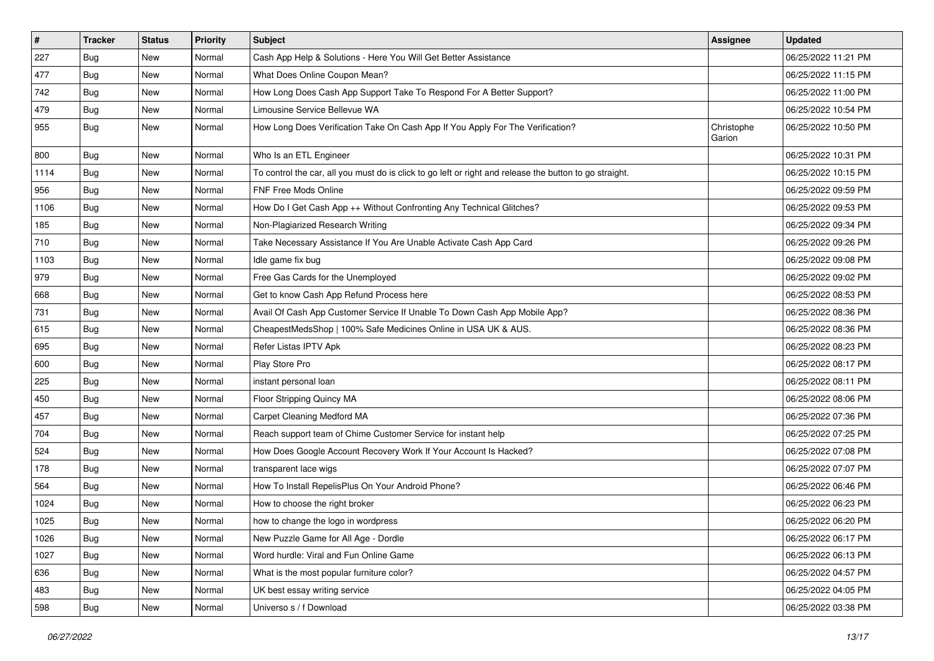| $\vert$ # | <b>Tracker</b> | <b>Status</b> | <b>Priority</b> | <b>Subject</b>                                                                                          | <b>Assignee</b>      | <b>Updated</b>      |
|-----------|----------------|---------------|-----------------|---------------------------------------------------------------------------------------------------------|----------------------|---------------------|
| 227       | <b>Bug</b>     | New           | Normal          | Cash App Help & Solutions - Here You Will Get Better Assistance                                         |                      | 06/25/2022 11:21 PM |
| 477       | <b>Bug</b>     | New           | Normal          | What Does Online Coupon Mean?                                                                           |                      | 06/25/2022 11:15 PM |
| 742       | Bug            | New           | Normal          | How Long Does Cash App Support Take To Respond For A Better Support?                                    |                      | 06/25/2022 11:00 PM |
| 479       | <b>Bug</b>     | New           | Normal          | Limousine Service Bellevue WA                                                                           |                      | 06/25/2022 10:54 PM |
| 955       | Bug            | <b>New</b>    | Normal          | How Long Does Verification Take On Cash App If You Apply For The Verification?                          | Christophe<br>Garion | 06/25/2022 10:50 PM |
| 800       | Bug            | New           | Normal          | Who Is an ETL Engineer                                                                                  |                      | 06/25/2022 10:31 PM |
| 1114      | Bug            | New           | Normal          | To control the car, all you must do is click to go left or right and release the button to go straight. |                      | 06/25/2022 10:15 PM |
| 956       | Bug            | New           | Normal          | FNF Free Mods Online                                                                                    |                      | 06/25/2022 09:59 PM |
| 1106      | Bug            | New           | Normal          | How Do I Get Cash App ++ Without Confronting Any Technical Glitches?                                    |                      | 06/25/2022 09:53 PM |
| 185       | Bug            | New           | Normal          | Non-Plagiarized Research Writing                                                                        |                      | 06/25/2022 09:34 PM |
| 710       | <b>Bug</b>     | New           | Normal          | Take Necessary Assistance If You Are Unable Activate Cash App Card                                      |                      | 06/25/2022 09:26 PM |
| 1103      | Bug            | <b>New</b>    | Normal          | Idle game fix bug                                                                                       |                      | 06/25/2022 09:08 PM |
| 979       | Bug            | New           | Normal          | Free Gas Cards for the Unemployed                                                                       |                      | 06/25/2022 09:02 PM |
| 668       | Bug            | New           | Normal          | Get to know Cash App Refund Process here                                                                |                      | 06/25/2022 08:53 PM |
| 731       | <b>Bug</b>     | New           | Normal          | Avail Of Cash App Customer Service If Unable To Down Cash App Mobile App?                               |                      | 06/25/2022 08:36 PM |
| 615       | Bug            | New           | Normal          | CheapestMedsShop   100% Safe Medicines Online in USA UK & AUS.                                          |                      | 06/25/2022 08:36 PM |
| 695       | Bug            | <b>New</b>    | Normal          | Refer Listas IPTV Apk                                                                                   |                      | 06/25/2022 08:23 PM |
| 600       | Bug            | New           | Normal          | Play Store Pro                                                                                          |                      | 06/25/2022 08:17 PM |
| 225       | Bug            | New           | Normal          | instant personal loan                                                                                   |                      | 06/25/2022 08:11 PM |
| 450       | Bug            | New           | Normal          | Floor Stripping Quincy MA                                                                               |                      | 06/25/2022 08:06 PM |
| 457       | <b>Bug</b>     | <b>New</b>    | Normal          | Carpet Cleaning Medford MA                                                                              |                      | 06/25/2022 07:36 PM |
| 704       | Bug            | New           | Normal          | Reach support team of Chime Customer Service for instant help                                           |                      | 06/25/2022 07:25 PM |
| 524       | Bug            | New           | Normal          | How Does Google Account Recovery Work If Your Account Is Hacked?                                        |                      | 06/25/2022 07:08 PM |
| 178       | <b>Bug</b>     | New           | Normal          | transparent lace wigs                                                                                   |                      | 06/25/2022 07:07 PM |
| 564       | Bug            | <b>New</b>    | Normal          | How To Install RepelisPlus On Your Android Phone?                                                       |                      | 06/25/2022 06:46 PM |
| 1024      | Bug            | New           | Normal          | How to choose the right broker                                                                          |                      | 06/25/2022 06:23 PM |
| 1025      | <b>Bug</b>     | New           | Normal          | how to change the logo in wordpress                                                                     |                      | 06/25/2022 06:20 PM |
| 1026      | <b>Bug</b>     | New           | Normal          | New Puzzle Game for All Age - Dordle                                                                    |                      | 06/25/2022 06:17 PM |
| 1027      | Bug            | New           | Normal          | Word hurdle: Viral and Fun Online Game                                                                  |                      | 06/25/2022 06:13 PM |
| 636       | Bug            | New           | Normal          | What is the most popular furniture color?                                                               |                      | 06/25/2022 04:57 PM |
| 483       | <b>Bug</b>     | New           | Normal          | UK best essay writing service                                                                           |                      | 06/25/2022 04:05 PM |
| 598       | Bug            | New           | Normal          | Universo s / f Download                                                                                 |                      | 06/25/2022 03:38 PM |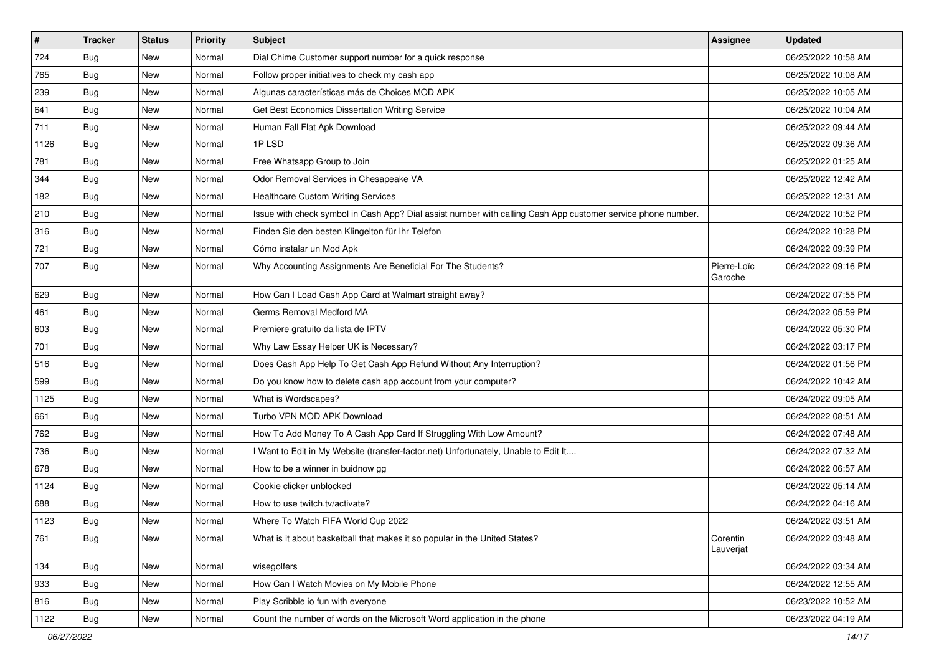| $\vert$ # | <b>Tracker</b> | <b>Status</b> | Priority | Subject                                                                                                      | <b>Assignee</b>        | <b>Updated</b>      |
|-----------|----------------|---------------|----------|--------------------------------------------------------------------------------------------------------------|------------------------|---------------------|
| 724       | <b>Bug</b>     | New           | Normal   | Dial Chime Customer support number for a quick response                                                      |                        | 06/25/2022 10:58 AM |
| 765       | Bug            | New           | Normal   | Follow proper initiatives to check my cash app                                                               |                        | 06/25/2022 10:08 AM |
| 239       | Bug            | New           | Normal   | Algunas características más de Choices MOD APK                                                               |                        | 06/25/2022 10:05 AM |
| 641       | Bug            | New           | Normal   | Get Best Economics Dissertation Writing Service                                                              |                        | 06/25/2022 10:04 AM |
| 711       | Bug            | New           | Normal   | Human Fall Flat Apk Download                                                                                 |                        | 06/25/2022 09:44 AM |
| 1126      | <b>Bug</b>     | New           | Normal   | 1P LSD                                                                                                       |                        | 06/25/2022 09:36 AM |
| 781       | Bug            | New           | Normal   | Free Whatsapp Group to Join                                                                                  |                        | 06/25/2022 01:25 AM |
| 344       | Bug            | New           | Normal   | Odor Removal Services in Chesapeake VA                                                                       |                        | 06/25/2022 12:42 AM |
| 182       | Bug            | New           | Normal   | <b>Healthcare Custom Writing Services</b>                                                                    |                        | 06/25/2022 12:31 AM |
| 210       | Bug            | New           | Normal   | Issue with check symbol in Cash App? Dial assist number with calling Cash App customer service phone number. |                        | 06/24/2022 10:52 PM |
| 316       | <b>Bug</b>     | New           | Normal   | Finden Sie den besten Klingelton für Ihr Telefon                                                             |                        | 06/24/2022 10:28 PM |
| 721       | Bug            | New           | Normal   | Cómo instalar un Mod Apk                                                                                     |                        | 06/24/2022 09:39 PM |
| 707       | Bug            | New           | Normal   | Why Accounting Assignments Are Beneficial For The Students?                                                  | Pierre-Loïc<br>Garoche | 06/24/2022 09:16 PM |
| 629       | Bug            | New           | Normal   | How Can I Load Cash App Card at Walmart straight away?                                                       |                        | 06/24/2022 07:55 PM |
| 461       | Bug            | New           | Normal   | Germs Removal Medford MA                                                                                     |                        | 06/24/2022 05:59 PM |
| 603       | Bug            | New           | Normal   | Premiere gratuito da lista de IPTV                                                                           |                        | 06/24/2022 05:30 PM |
| 701       | Bug            | New           | Normal   | Why Law Essay Helper UK is Necessary?                                                                        |                        | 06/24/2022 03:17 PM |
| 516       | <b>Bug</b>     | New           | Normal   | Does Cash App Help To Get Cash App Refund Without Any Interruption?                                          |                        | 06/24/2022 01:56 PM |
| 599       | Bug            | New           | Normal   | Do you know how to delete cash app account from your computer?                                               |                        | 06/24/2022 10:42 AM |
| 1125      | Bug            | New           | Normal   | What is Wordscapes?                                                                                          |                        | 06/24/2022 09:05 AM |
| 661       | <b>Bug</b>     | New           | Normal   | Turbo VPN MOD APK Download                                                                                   |                        | 06/24/2022 08:51 AM |
| 762       | Bug            | New           | Normal   | How To Add Money To A Cash App Card If Struggling With Low Amount?                                           |                        | 06/24/2022 07:48 AM |
| 736       | <b>Bug</b>     | New           | Normal   | I Want to Edit in My Website (transfer-factor.net) Unfortunately, Unable to Edit It                          |                        | 06/24/2022 07:32 AM |
| 678       | Bug            | New           | Normal   | How to be a winner in buidnow gg                                                                             |                        | 06/24/2022 06:57 AM |
| 1124      | Bug            | New           | Normal   | Cookie clicker unblocked                                                                                     |                        | 06/24/2022 05:14 AM |
| 688       | <b>Bug</b>     | New           | Normal   | How to use twitch.tv/activate?                                                                               |                        | 06/24/2022 04:16 AM |
| 1123      | <b>Bug</b>     | New           | Normal   | Where To Watch FIFA World Cup 2022                                                                           |                        | 06/24/2022 03:51 AM |
| 761       | Bug            | New           | Normal   | What is it about basketball that makes it so popular in the United States?                                   | Corentin<br>Lauverjat  | 06/24/2022 03:48 AM |
| 134       | Bug            | <b>New</b>    | Normal   | wisegolfers                                                                                                  |                        | 06/24/2022 03:34 AM |
| 933       | <b>Bug</b>     | New           | Normal   | How Can I Watch Movies on My Mobile Phone                                                                    |                        | 06/24/2022 12:55 AM |
| 816       | <b>Bug</b>     | New           | Normal   | Play Scribble io fun with everyone                                                                           |                        | 06/23/2022 10:52 AM |
| 1122      | Bug            | <b>New</b>    | Normal   | Count the number of words on the Microsoft Word application in the phone                                     |                        | 06/23/2022 04:19 AM |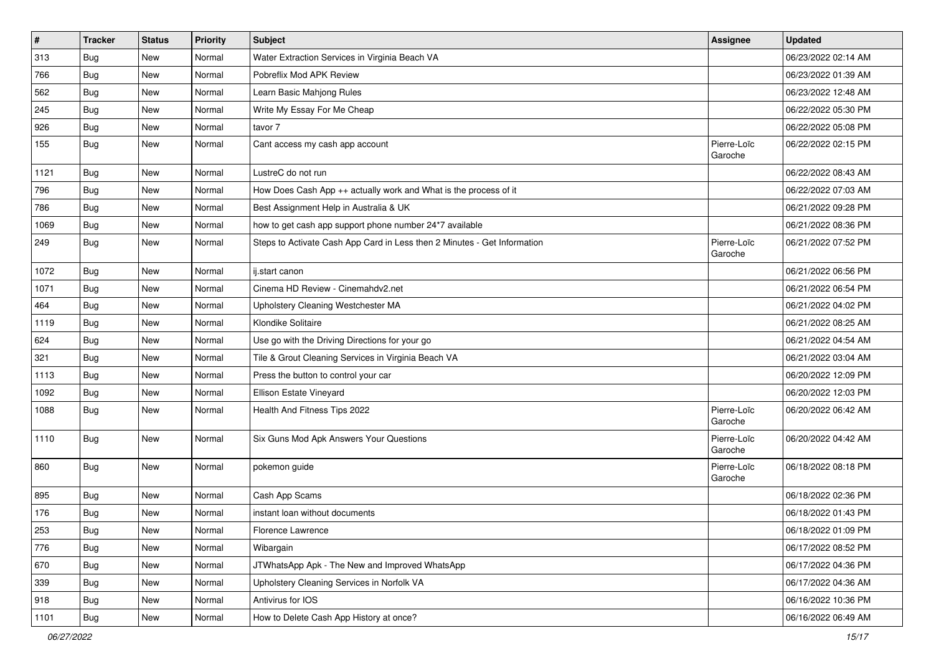| $\vert$ # | <b>Tracker</b> | <b>Status</b> | Priority | <b>Subject</b>                                                           | <b>Assignee</b>        | <b>Updated</b>      |
|-----------|----------------|---------------|----------|--------------------------------------------------------------------------|------------------------|---------------------|
| 313       | <b>Bug</b>     | New           | Normal   | Water Extraction Services in Virginia Beach VA                           |                        | 06/23/2022 02:14 AM |
| 766       | Bug            | <b>New</b>    | Normal   | Pobreflix Mod APK Review                                                 |                        | 06/23/2022 01:39 AM |
| 562       | Bug            | <b>New</b>    | Normal   | Learn Basic Mahjong Rules                                                |                        | 06/23/2022 12:48 AM |
| 245       | <b>Bug</b>     | New           | Normal   | Write My Essay For Me Cheap                                              |                        | 06/22/2022 05:30 PM |
| 926       | Bug            | New           | Normal   | tavor 7                                                                  |                        | 06/22/2022 05:08 PM |
| 155       | Bug            | New           | Normal   | Cant access my cash app account                                          | Pierre-Loïc<br>Garoche | 06/22/2022 02:15 PM |
| 1121      | Bug            | <b>New</b>    | Normal   | LustreC do not run                                                       |                        | 06/22/2022 08:43 AM |
| 796       | Bug            | <b>New</b>    | Normal   | How Does Cash App ++ actually work and What is the process of it         |                        | 06/22/2022 07:03 AM |
| 786       | Bug            | <b>New</b>    | Normal   | Best Assignment Help in Australia & UK                                   |                        | 06/21/2022 09:28 PM |
| 1069      | Bug            | <b>New</b>    | Normal   | how to get cash app support phone number 24*7 available                  |                        | 06/21/2022 08:36 PM |
| 249       | <b>Bug</b>     | New           | Normal   | Steps to Activate Cash App Card in Less then 2 Minutes - Get Information | Pierre-Loïc<br>Garoche | 06/21/2022 07:52 PM |
| 1072      | Bug            | <b>New</b>    | Normal   | ij.start canon                                                           |                        | 06/21/2022 06:56 PM |
| 1071      | Bug            | <b>New</b>    | Normal   | Cinema HD Review - Cinemahdv2.net                                        |                        | 06/21/2022 06:54 PM |
| 464       | Bug            | <b>New</b>    | Normal   | Upholstery Cleaning Westchester MA                                       |                        | 06/21/2022 04:02 PM |
| 1119      | <b>Bug</b>     | <b>New</b>    | Normal   | Klondike Solitaire                                                       |                        | 06/21/2022 08:25 AM |
| 624       | Bug            | <b>New</b>    | Normal   | Use go with the Driving Directions for your go                           |                        | 06/21/2022 04:54 AM |
| 321       | Bug            | New           | Normal   | Tile & Grout Cleaning Services in Virginia Beach VA                      |                        | 06/21/2022 03:04 AM |
| 1113      | <b>Bug</b>     | New           | Normal   | Press the button to control your car                                     |                        | 06/20/2022 12:09 PM |
| 1092      | Bug            | <b>New</b>    | Normal   | Ellison Estate Vineyard                                                  |                        | 06/20/2022 12:03 PM |
| 1088      | Bug            | <b>New</b>    | Normal   | Health And Fitness Tips 2022                                             | Pierre-Loïc<br>Garoche | 06/20/2022 06:42 AM |
| 1110      | <b>Bug</b>     | <b>New</b>    | Normal   | Six Guns Mod Apk Answers Your Questions                                  | Pierre-Loïc<br>Garoche | 06/20/2022 04:42 AM |
| 860       | Bug            | <b>New</b>    | Normal   | pokemon guide                                                            | Pierre-Loïc<br>Garoche | 06/18/2022 08:18 PM |
| 895       | Bug            | <b>New</b>    | Normal   | Cash App Scams                                                           |                        | 06/18/2022 02:36 PM |
| 176       | Bug            | <b>New</b>    | Normal   | instant loan without documents                                           |                        | 06/18/2022 01:43 PM |
| 253       | Bug            | New           | Normal   | Florence Lawrence                                                        |                        | 06/18/2022 01:09 PM |
| 776       | <b>Bug</b>     | <b>New</b>    | Normal   | Wibargain                                                                |                        | 06/17/2022 08:52 PM |
| 670       | Bug            | New           | Normal   | JTWhatsApp Apk - The New and Improved WhatsApp                           |                        | 06/17/2022 04:36 PM |
| 339       | <b>Bug</b>     | New           | Normal   | Upholstery Cleaning Services in Norfolk VA                               |                        | 06/17/2022 04:36 AM |
| 918       | Bug            | <b>New</b>    | Normal   | Antivirus for IOS                                                        |                        | 06/16/2022 10:36 PM |
| 1101      | Bug            | New           | Normal   | How to Delete Cash App History at once?                                  |                        | 06/16/2022 06:49 AM |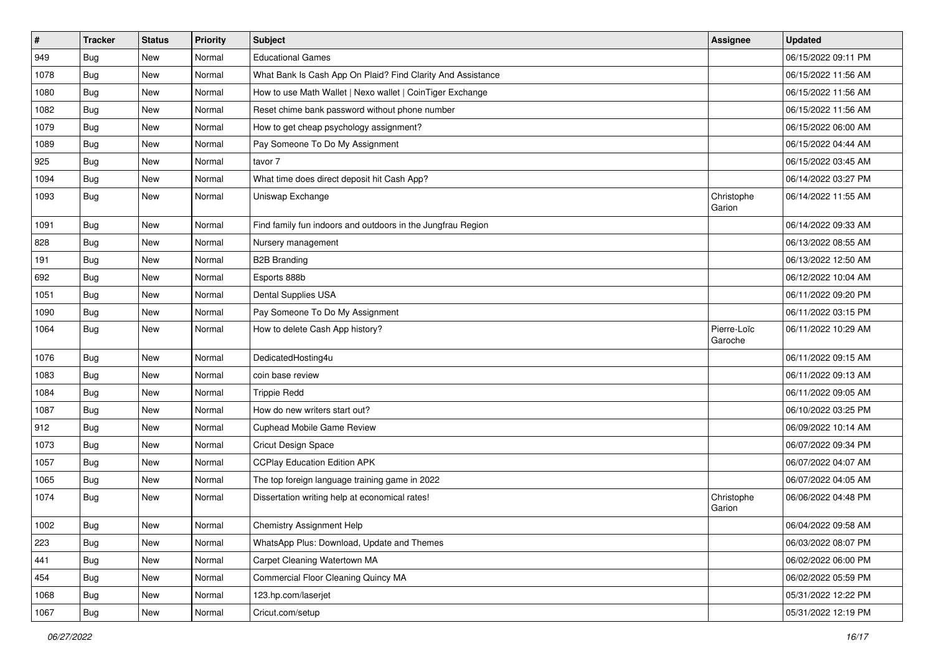| $\vert$ # | <b>Tracker</b> | <b>Status</b> | <b>Priority</b> | <b>Subject</b>                                              | <b>Assignee</b>        | <b>Updated</b>      |
|-----------|----------------|---------------|-----------------|-------------------------------------------------------------|------------------------|---------------------|
| 949       | <b>Bug</b>     | New           | Normal          | <b>Educational Games</b>                                    |                        | 06/15/2022 09:11 PM |
| 1078      | Bug            | <b>New</b>    | Normal          | What Bank Is Cash App On Plaid? Find Clarity And Assistance |                        | 06/15/2022 11:56 AM |
| 1080      | Bug            | New           | Normal          | How to use Math Wallet   Nexo wallet   CoinTiger Exchange   |                        | 06/15/2022 11:56 AM |
| 1082      | <b>Bug</b>     | New           | Normal          | Reset chime bank password without phone number              |                        | 06/15/2022 11:56 AM |
| 1079      | Bug            | <b>New</b>    | Normal          | How to get cheap psychology assignment?                     |                        | 06/15/2022 06:00 AM |
| 1089      | <b>Bug</b>     | New           | Normal          | Pay Someone To Do My Assignment                             |                        | 06/15/2022 04:44 AM |
| 925       | Bug            | New           | Normal          | tavor 7                                                     |                        | 06/15/2022 03:45 AM |
| 1094      | <b>Bug</b>     | <b>New</b>    | Normal          | What time does direct deposit hit Cash App?                 |                        | 06/14/2022 03:27 PM |
| 1093      | <b>Bug</b>     | <b>New</b>    | Normal          | Uniswap Exchange                                            | Christophe<br>Garion   | 06/14/2022 11:55 AM |
| 1091      | Bug            | New           | Normal          | Find family fun indoors and outdoors in the Jungfrau Region |                        | 06/14/2022 09:33 AM |
| 828       | <b>Bug</b>     | <b>New</b>    | Normal          | Nursery management                                          |                        | 06/13/2022 08:55 AM |
| 191       | Bug            | <b>New</b>    | Normal          | <b>B2B Branding</b>                                         |                        | 06/13/2022 12:50 AM |
| 692       | Bug            | New           | Normal          | Esports 888b                                                |                        | 06/12/2022 10:04 AM |
| 1051      | Bug            | New           | Normal          | Dental Supplies USA                                         |                        | 06/11/2022 09:20 PM |
| 1090      | Bug            | <b>New</b>    | Normal          | Pay Someone To Do My Assignment                             |                        | 06/11/2022 03:15 PM |
| 1064      | <b>Bug</b>     | New           | Normal          | How to delete Cash App history?                             | Pierre-Loïc<br>Garoche | 06/11/2022 10:29 AM |
| 1076      | Bug            | <b>New</b>    | Normal          | DedicatedHosting4u                                          |                        | 06/11/2022 09:15 AM |
| 1083      | <b>Bug</b>     | New           | Normal          | coin base review                                            |                        | 06/11/2022 09:13 AM |
| 1084      | <b>Bug</b>     | <b>New</b>    | Normal          | <b>Trippie Redd</b>                                         |                        | 06/11/2022 09:05 AM |
| 1087      | <b>Bug</b>     | New           | Normal          | How do new writers start out?                               |                        | 06/10/2022 03:25 PM |
| 912       | <b>Bug</b>     | New           | Normal          | Cuphead Mobile Game Review                                  |                        | 06/09/2022 10:14 AM |
| 1073      | <b>Bug</b>     | New           | Normal          | Cricut Design Space                                         |                        | 06/07/2022 09:34 PM |
| 1057      | <b>Bug</b>     | New           | Normal          | <b>CCPlay Education Edition APK</b>                         |                        | 06/07/2022 04:07 AM |
| 1065      | Bug            | <b>New</b>    | Normal          | The top foreign language training game in 2022              |                        | 06/07/2022 04:05 AM |
| 1074      | <b>Bug</b>     | New           | Normal          | Dissertation writing help at economical rates!              | Christophe<br>Garion   | 06/06/2022 04:48 PM |
| 1002      | i Bug          | New           | Normal          | Chemistry Assignment Help                                   |                        | 06/04/2022 09:58 AM |
| 223       | Bug            | New           | Normal          | WhatsApp Plus: Download, Update and Themes                  |                        | 06/03/2022 08:07 PM |
| 441       | <b>Bug</b>     | New           | Normal          | Carpet Cleaning Watertown MA                                |                        | 06/02/2022 06:00 PM |
| 454       | Bug            | New           | Normal          | Commercial Floor Cleaning Quincy MA                         |                        | 06/02/2022 05:59 PM |
| 1068      | <b>Bug</b>     | New           | Normal          | 123.hp.com/laserjet                                         |                        | 05/31/2022 12:22 PM |
| 1067      | <b>Bug</b>     | New           | Normal          | Cricut.com/setup                                            |                        | 05/31/2022 12:19 PM |